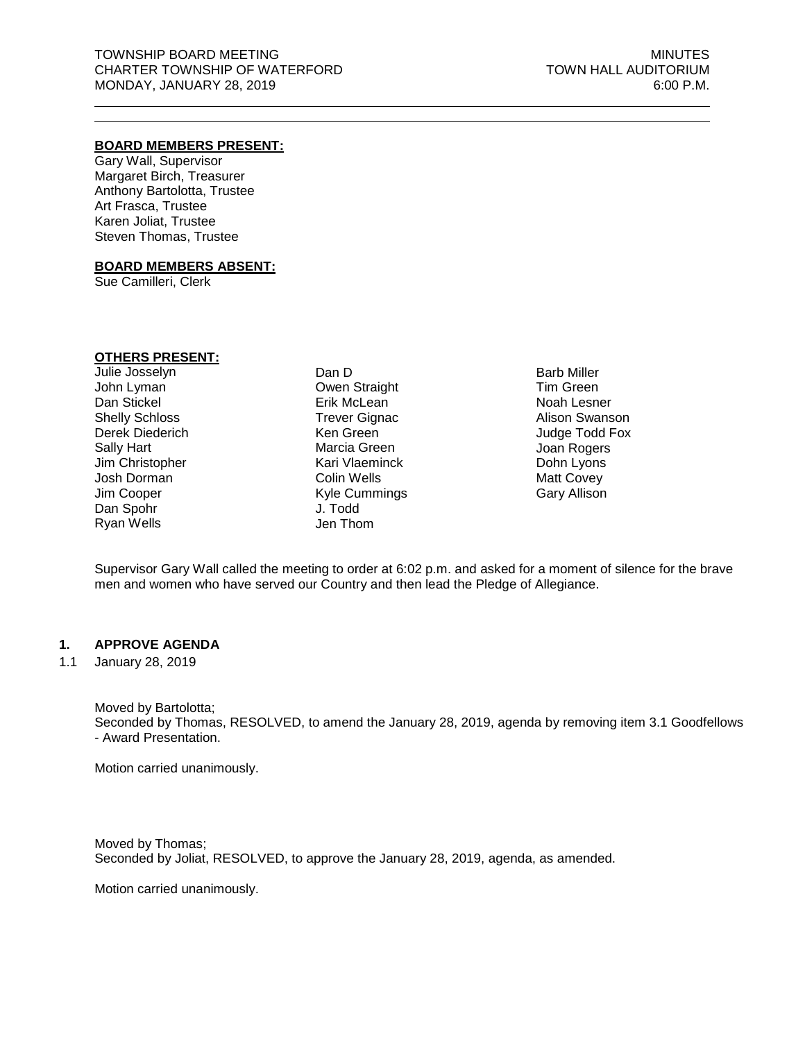# **BOARD MEMBERS PRESENT:**

Gary Wall, Supervisor Margaret Birch, Treasurer Anthony Bartolotta, Trustee Art Frasca, Trustee Karen Joliat, Trustee Steven Thomas, Trustee

#### **BOARD MEMBERS ABSENT:**

Sue Camilleri, Clerk

# **OTHERS PRESENT:**

Julie Josselyn John Lyman Dan Stickel Shelly Schloss Derek Diederich Sally Hart Jim Christopher Josh Dorman Jim Cooper Dan Spohr Ryan Wells

Dan D Owen Straight Erik McLean Trever Gignac Ken Green Marcia Green Kari Vlaeminck Colin Wells Kyle Cummings J. Todd Jen Thom

Barb Miller Tim Green Noah Lesner Alison Swanson Judge Todd Fox Joan Rogers Dohn Lyons Matt Covey Gary Allison

Supervisor Gary Wall called the meeting to order at 6:02 p.m. and asked for a moment of silence for the brave men and women who have served our Country and then lead the Pledge of Allegiance.

# **1. APPROVE AGENDA**

1.1 January 28, 2019

Moved by Bartolotta; Seconded by Thomas, RESOLVED, to amend the January 28, 2019, agenda by removing item 3.1 Goodfellows - Award Presentation.

Motion carried unanimously.

Moved by Thomas; Seconded by Joliat, RESOLVED, to approve the January 28, 2019, agenda, as amended.

Motion carried unanimously.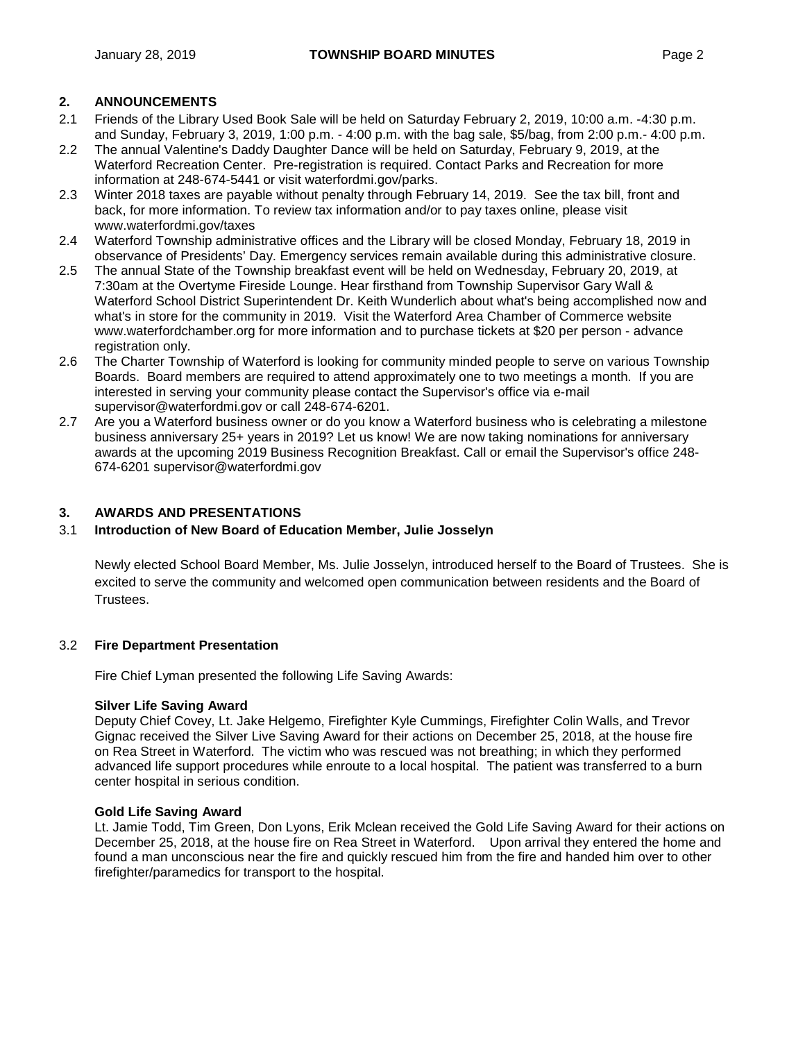# **2. ANNOUNCEMENTS**

- 2.1 Friends of the Library Used Book Sale will be held on Saturday February 2, 2019, 10:00 a.m. -4:30 p.m. and Sunday, February 3, 2019, 1:00 p.m. - 4:00 p.m. with the bag sale, \$5/bag, from 2:00 p.m.- 4:00 p.m.
- 2.2 The annual Valentine's Daddy Daughter Dance will be held on Saturday, February 9, 2019, at the Waterford Recreation Center. Pre-registration is required. Contact Parks and Recreation for more information at 248-674-5441 or visit waterfordmi.gov/parks.
- 2.3 Winter 2018 taxes are payable without penalty through February 14, 2019. See the tax bill, front and back, for more information. To review tax information and/or to pay taxes online, please visit [www.waterfordmi.gov/taxes](http://www.waterfordmi.gov/taxes)
- 2.4 Waterford Township administrative offices and the Library will be closed Monday, February 18, 2019 in observance of Presidents' Day. Emergency services remain available during this administrative closure.
- 2.5 The annual State of the Township breakfast event will be held on Wednesday, February 20, 2019, at 7:30am at the Overtyme Fireside Lounge. Hear firsthand from Township Supervisor Gary Wall & Waterford School District Superintendent Dr. Keith Wunderlich about what's being accomplished now and what's in store for the community in 2019. Visit the Waterford Area Chamber of Commerce website www.waterfordchamber.org for more information and to purchase tickets at \$20 per person - advance registration only.
- 2.6 The Charter Township of Waterford is looking for community minded people to serve on various Township Boards. Board members are required to attend approximately one to two meetings a month. If you are interested in serving your community please contact the Supervisor's office via e-mail supervisor@waterfordmi.gov or call 248-674-6201.
- 2.7 Are you a Waterford business owner or do you know a Waterford business who is celebrating a milestone business anniversary 25+ years in 2019? Let us know! We are now taking nominations for anniversary awards at the upcoming 2019 Business Recognition Breakfast. Call or email the Supervisor's office 248- 674-6201 supervisor@waterfordmi.gov

# **3. AWARDS AND PRESENTATIONS**

# 3.1 **Introduction of New Board of Education Member, Julie Josselyn**

Newly elected School Board Member, Ms. Julie Josselyn, introduced herself to the Board of Trustees. She is excited to serve the community and welcomed open communication between residents and the Board of Trustees.

# 3.2 **Fire Department Presentation**

Fire Chief Lyman presented the following Life Saving Awards:

#### **Silver Life Saving Award**

Deputy Chief Covey, Lt. Jake Helgemo, Firefighter Kyle Cummings, Firefighter Colin Walls, and Trevor Gignac received the Silver Live Saving Award for their actions on December 25, 2018, at the house fire on Rea Street in Waterford. The victim who was rescued was not breathing; in which they performed advanced life support procedures while enroute to a local hospital. The patient was transferred to a burn center hospital in serious condition.

# **Gold Life Saving Award**

Lt. Jamie Todd, Tim Green, Don Lyons, Erik Mclean received the Gold Life Saving Award for their actions on December 25, 2018, at the house fire on Rea Street in Waterford. Upon arrival they entered the home and found a man unconscious near the fire and quickly rescued him from the fire and handed him over to other firefighter/paramedics for transport to the hospital.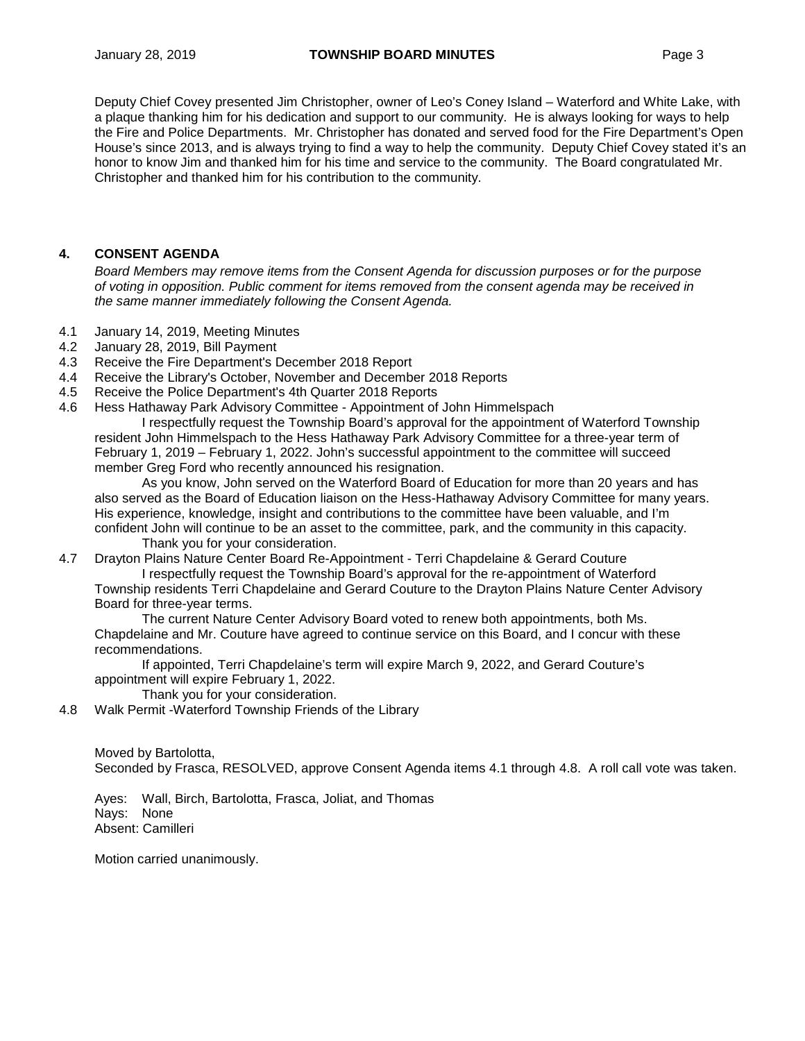Deputy Chief Covey presented Jim Christopher, owner of Leo's Coney Island – Waterford and White Lake, with a plaque thanking him for his dedication and support to our community. He is always looking for ways to help the Fire and Police Departments. Mr. Christopher has donated and served food for the Fire Department's Open House's since 2013, and is always trying to find a way to help the community. Deputy Chief Covey stated it's an honor to know Jim and thanked him for his time and service to the community. The Board congratulated Mr. Christopher and thanked him for his contribution to the community.

# **4. CONSENT AGENDA**

*Board Members may remove items from the Consent Agenda for discussion purposes or for the purpose of voting in opposition. Public comment for items removed from the consent agenda may be received in the same manner immediately following the Consent Agenda.*

- 4.1 January 14, 2019, Meeting Minutes
- 4.2 January 28, 2019, Bill Payment
- 4.3 Receive the Fire Department's December 2018 Report
- 4.4 Receive the Library's October, November and December 2018 Reports
- 4.5 Receive the Police Department's 4th Quarter 2018 Reports
- 4.6 Hess Hathaway Park Advisory Committee Appointment of John Himmelspach

I respectfully request the Township Board's approval for the appointment of Waterford Township resident John Himmelspach to the Hess Hathaway Park Advisory Committee for a three-year term of February 1, 2019 – February 1, 2022. John's successful appointment to the committee will succeed member Greg Ford who recently announced his resignation.

As you know, John served on the Waterford Board of Education for more than 20 years and has also served as the Board of Education liaison on the Hess-Hathaway Advisory Committee for many years. His experience, knowledge, insight and contributions to the committee have been valuable, and I'm confident John will continue to be an asset to the committee, park, and the community in this capacity. Thank you for your consideration.

4.7 Drayton Plains Nature Center Board Re-Appointment - Terri Chapdelaine & Gerard Couture I respectfully request the Township Board's approval for the re-appointment of Waterford

Township residents Terri Chapdelaine and Gerard Couture to the Drayton Plains Nature Center Advisory Board for three-year terms.

The current Nature Center Advisory Board voted to renew both appointments, both Ms. Chapdelaine and Mr. Couture have agreed to continue service on this Board, and I concur with these recommendations.

If appointed, Terri Chapdelaine's term will expire March 9, 2022, and Gerard Couture's appointment will expire February 1, 2022.

Thank you for your consideration.

4.8 Walk Permit -Waterford Township Friends of the Library

Moved by Bartolotta, Seconded by Frasca, RESOLVED, approve Consent Agenda items 4.1 through 4.8. A roll call vote was taken.

Ayes: Wall, Birch, Bartolotta, Frasca, Joliat, and Thomas Nays: None Absent: Camilleri

Motion carried unanimously.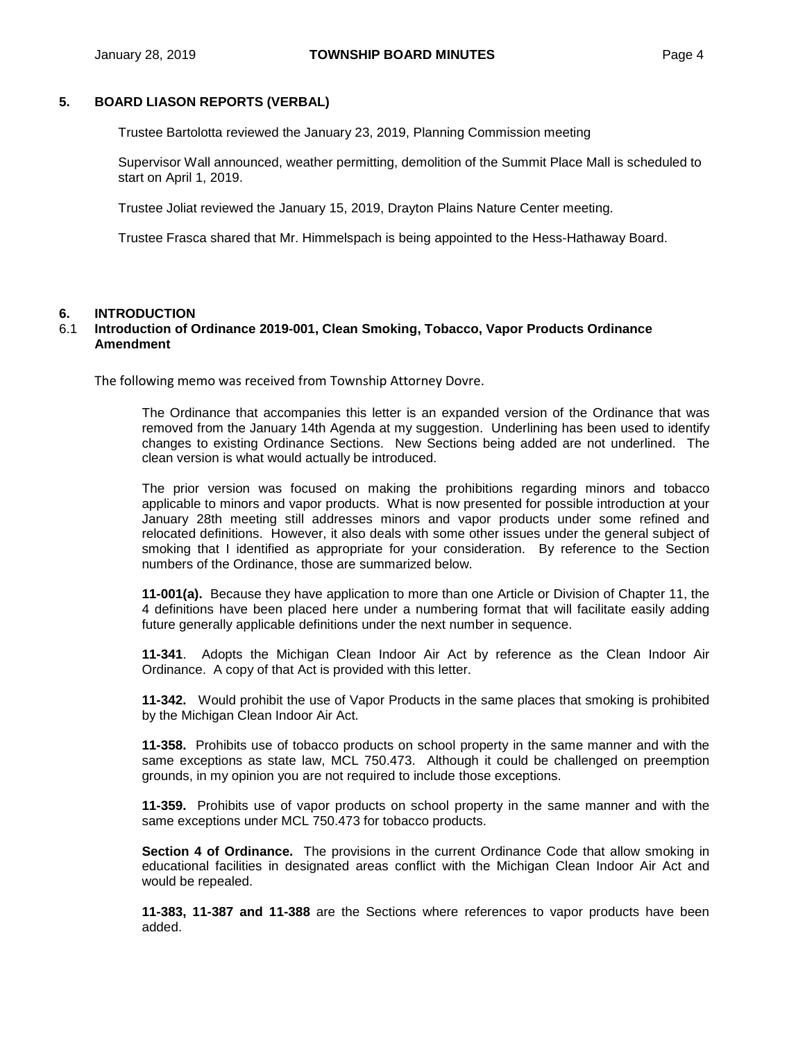# **5. BOARD LIASON REPORTS (VERBAL)**

Trustee Bartolotta reviewed the January 23, 2019, Planning Commission meeting

Supervisor Wall announced, weather permitting, demolition of the Summit Place Mall is scheduled to start on April 1, 2019.

Trustee Joliat reviewed the January 15, 2019, Drayton Plains Nature Center meeting.

Trustee Frasca shared that Mr. Himmelspach is being appointed to the Hess-Hathaway Board.

# **6. INTRODUCTION**

# 6.1 **Introduction of Ordinance 2019-001, Clean Smoking, Tobacco, Vapor Products Ordinance Amendment**

The following memo was received from Township Attorney Dovre.

The Ordinance that accompanies this letter is an expanded version of the Ordinance that was removed from the January 14th Agenda at my suggestion. Underlining has been used to identify changes to existing Ordinance Sections. New Sections being added are not underlined. The clean version is what would actually be introduced.

The prior version was focused on making the prohibitions regarding minors and tobacco applicable to minors and vapor products. What is now presented for possible introduction at your January 28th meeting still addresses minors and vapor products under some refined and relocated definitions. However, it also deals with some other issues under the general subject of smoking that I identified as appropriate for your consideration. By reference to the Section numbers of the Ordinance, those are summarized below.

**11-001(a).** Because they have application to more than one Article or Division of Chapter 11, the 4 definitions have been placed here under a numbering format that will facilitate easily adding future generally applicable definitions under the next number in sequence.

**11-341**. Adopts the Michigan Clean Indoor Air Act by reference as the Clean Indoor Air Ordinance. A copy of that Act is provided with this letter.

**11-342.** Would prohibit the use of Vapor Products in the same places that smoking is prohibited by the Michigan Clean Indoor Air Act.

**11-358.** Prohibits use of tobacco products on school property in the same manner and with the same exceptions as state law, MCL 750.473. Although it could be challenged on preemption grounds, in my opinion you are not required to include those exceptions.

**11-359.** Prohibits use of vapor products on school property in the same manner and with the same exceptions under MCL 750.473 for tobacco products.

**Section 4 of Ordinance.** The provisions in the current Ordinance Code that allow smoking in educational facilities in designated areas conflict with the Michigan Clean Indoor Air Act and would be repealed.

**11-383, 11-387 and 11-388** are the Sections where references to vapor products have been added.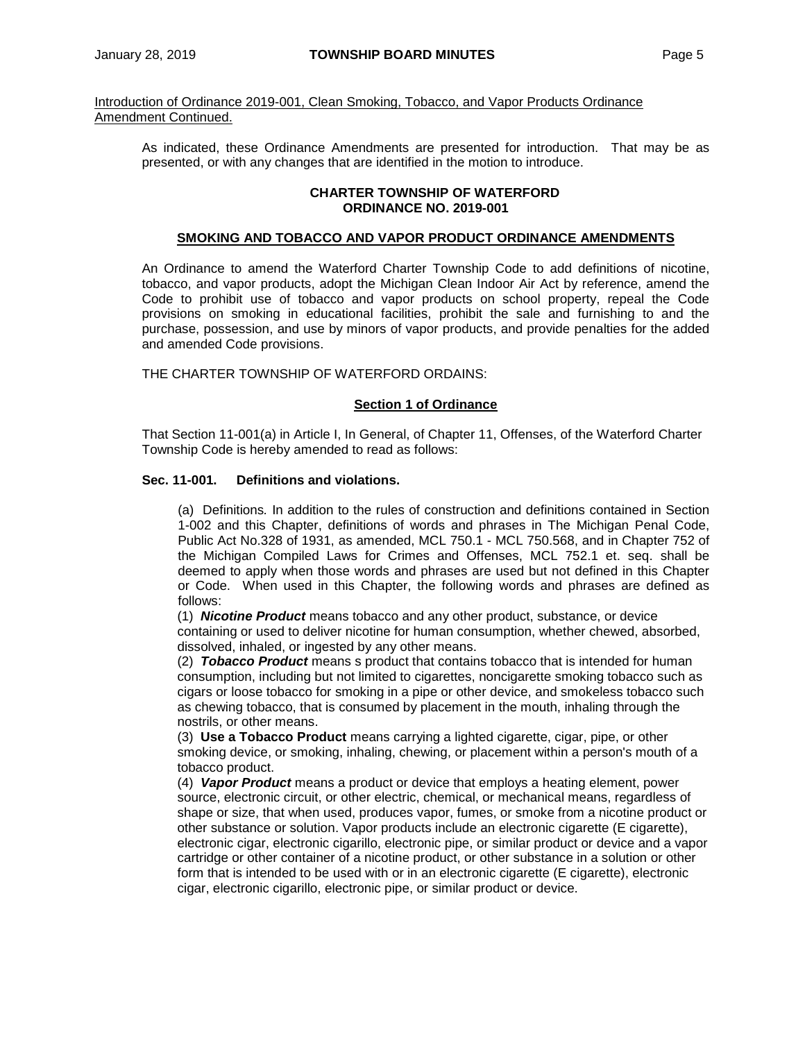Introduction of Ordinance 2019-001, Clean Smoking, Tobacco, and Vapor Products Ordinance Amendment Continued.

As indicated, these Ordinance Amendments are presented for introduction. That may be as presented, or with any changes that are identified in the motion to introduce.

# **CHARTER TOWNSHIP OF WATERFORD ORDINANCE NO. 2019-001**

# **SMOKING AND TOBACCO AND VAPOR PRODUCT ORDINANCE AMENDMENTS**

An Ordinance to amend the Waterford Charter Township Code to add definitions of nicotine, tobacco, and vapor products, adopt the Michigan Clean Indoor Air Act by reference, amend the Code to prohibit use of tobacco and vapor products on school property, repeal the Code provisions on smoking in educational facilities, prohibit the sale and furnishing to and the purchase, possession, and use by minors of vapor products, and provide penalties for the added and amended Code provisions.

THE CHARTER TOWNSHIP OF WATERFORD ORDAINS:

#### **Section 1 of Ordinance**

That Section 11-001(a) in Article I, In General, of Chapter 11, Offenses, of the Waterford Charter Township Code is hereby amended to read as follows:

#### **Sec. 11-001. Definitions and violations.**

(a) Definitions*.* In addition to the rules of construction and definitions contained in Section 1-002 and this Chapter, definitions of words and phrases in The Michigan Penal Code, Public Act No.328 of 1931, as amended, MCL 750.1 - MCL 750.568, and in Chapter 752 of the Michigan Compiled Laws for Crimes and Offenses, MCL 752.1 et. seq. shall be deemed to apply when those words and phrases are used but not defined in this Chapter or Code. When used in this Chapter, the following words and phrases are defined as follows:

(1) *Nicotine Product* means tobacco and any other product, substance, or device containing or used to deliver nicotine for human consumption, whether chewed, absorbed, dissolved, inhaled, or ingested by any other means.

(2) *Tobacco Product* means s product that contains tobacco that is intended for human consumption, including but not limited to cigarettes, noncigarette smoking tobacco such as cigars or loose tobacco for smoking in a pipe or other device, and smokeless tobacco such as chewing tobacco, that is consumed by placement in the mouth, inhaling through the nostrils, or other means.

(3) **Use a Tobacco Product** means carrying a lighted cigarette, cigar, pipe, or other smoking device, or smoking, inhaling, chewing, or placement within a person's mouth of a tobacco product.

(4) *Vapor Product* means a product or device that employs a heating element, power source, electronic circuit, or other electric, chemical, or mechanical means, regardless of shape or size, that when used, produces vapor, fumes, or smoke from a nicotine product or other substance or solution. Vapor products include an electronic cigarette (E cigarette), electronic cigar, electronic cigarillo, electronic pipe, or similar product or device and a vapor cartridge or other container of a nicotine product, or other substance in a solution or other form that is intended to be used with or in an electronic cigarette (E cigarette), electronic cigar, electronic cigarillo, electronic pipe, or similar product or device.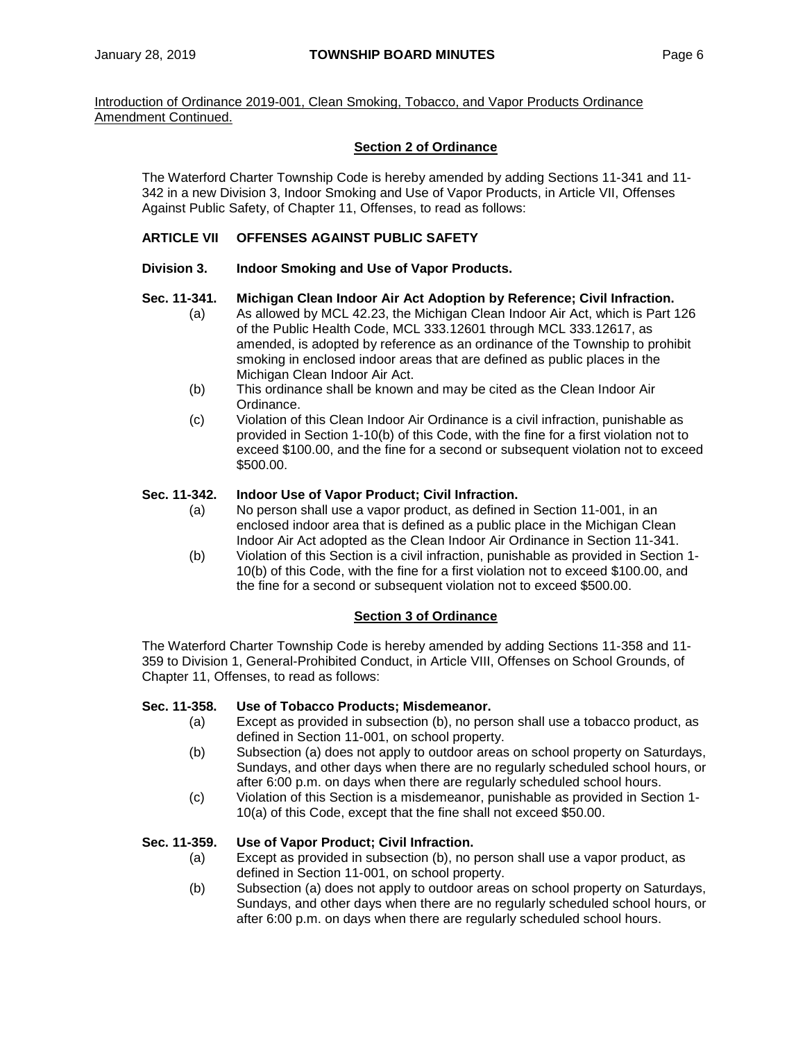Introduction of Ordinance 2019-001, Clean Smoking, Tobacco, and Vapor Products Ordinance Amendment Continued.

# **Section 2 of Ordinance**

The Waterford Charter Township Code is hereby amended by adding Sections 11-341 and 11- 342 in a new Division 3, Indoor Smoking and Use of Vapor Products, in Article VII, Offenses Against Public Safety, of Chapter 11, Offenses, to read as follows:

# **ARTICLE VII OFFENSES AGAINST PUBLIC SAFETY**

# **Division 3. Indoor Smoking and Use of Vapor Products.**

# **Sec. 11-341. Michigan Clean Indoor Air Act Adoption by Reference; Civil Infraction.**

- (a) As allowed by MCL 42.23, the Michigan Clean Indoor Air Act, which is Part 126 of the Public Health Code, MCL 333.12601 through MCL 333.12617, as amended, is adopted by reference as an ordinance of the Township to prohibit smoking in enclosed indoor areas that are defined as public places in the Michigan Clean Indoor Air Act.
- (b) This ordinance shall be known and may be cited as the Clean Indoor Air Ordinance.
- (c) Violation of this Clean Indoor Air Ordinance is a civil infraction, punishable as provided in Section 1-10(b) of this Code, with the fine for a first violation not to exceed \$100.00, and the fine for a second or subsequent violation not to exceed \$500.00.

# **Sec. 11-342. Indoor Use of Vapor Product; Civil Infraction.**

- (a) No person shall use a vapor product, as defined in Section 11-001, in an enclosed indoor area that is defined as a public place in the Michigan Clean Indoor Air Act adopted as the Clean Indoor Air Ordinance in Section 11-341.
- (b) Violation of this Section is a civil infraction, punishable as provided in Section 1- 10(b) of this Code, with the fine for a first violation not to exceed \$100.00, and the fine for a second or subsequent violation not to exceed \$500.00.

#### **Section 3 of Ordinance**

The Waterford Charter Township Code is hereby amended by adding Sections 11-358 and 11- 359 to Division 1, General-Prohibited Conduct, in Article VIII, Offenses on School Grounds, of Chapter 11, Offenses, to read as follows:

# **Sec. 11-358. Use of Tobacco Products; Misdemeanor.**

- (a) Except as provided in subsection (b), no person shall use a tobacco product, as defined in Section 11-001, on school property.
- (b) Subsection (a) does not apply to outdoor areas on school property on Saturdays, Sundays, and other days when there are no regularly scheduled school hours, or after 6:00 p.m. on days when there are regularly scheduled school hours.
- (c) Violation of this Section is a misdemeanor, punishable as provided in Section 1- 10(a) of this Code, except that the fine shall not exceed \$50.00.

**Sec. 11-359. Use of Vapor Product; Civil Infraction.**

- (a) Except as provided in subsection (b), no person shall use a vapor product, as defined in Section 11-001, on school property.
- (b) Subsection (a) does not apply to outdoor areas on school property on Saturdays, Sundays, and other days when there are no regularly scheduled school hours, or after 6:00 p.m. on days when there are regularly scheduled school hours.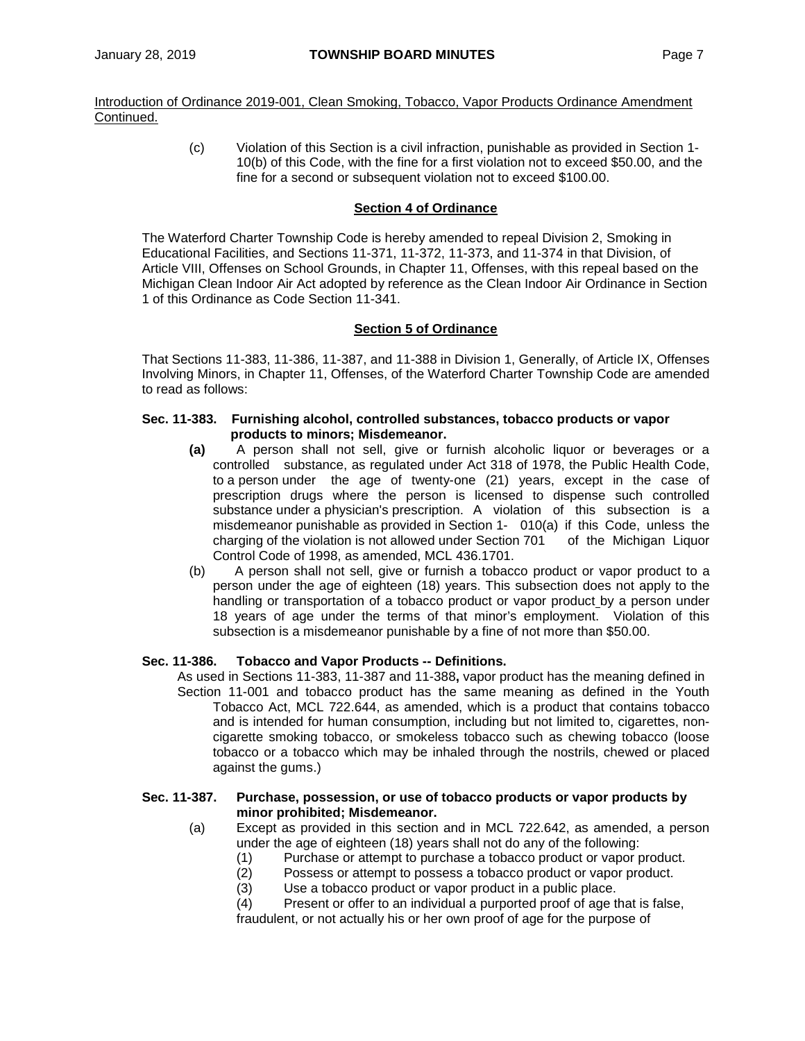# Introduction of Ordinance 2019-001, Clean Smoking, Tobacco, Vapor Products Ordinance Amendment Continued.

(c) Violation of this Section is a civil infraction, punishable as provided in Section 1- 10(b) of this Code, with the fine for a first violation not to exceed \$50.00, and the fine for a second or subsequent violation not to exceed \$100.00.

# **Section 4 of Ordinance**

The Waterford Charter Township Code is hereby amended to repeal Division 2, Smoking in Educational Facilities, and Sections 11-371, 11-372, 11-373, and 11-374 in that Division, of Article VIII, Offenses on School Grounds, in Chapter 11, Offenses, with this repeal based on the Michigan Clean Indoor Air Act adopted by reference as the Clean Indoor Air Ordinance in Section 1 of this Ordinance as Code Section 11-341.

# **Section 5 of Ordinance**

That Sections 11-383, 11-386, 11-387, and 11-388 in Division 1, Generally, of Article IX, Offenses Involving Minors, in Chapter 11, Offenses, of the Waterford Charter Township Code are amended to read as follows:

# **Sec. 11-383. Furnishing alcohol, controlled substances, tobacco products or vapor products to minors; Misdemeanor.**

- **(a)** A person shall not sell, give or furnish alcoholic liquor or beverages or a controlled substance, as regulated under Act 318 of 1978, the Public Health Code, to a person under the age of twenty-one (21) years, except in the case of prescription drugs where the person is licensed to dispense such controlled substance under a physician's prescription. A violation of this subsection is a misdemeanor punishable as provided in Section 1- 010(a) if this Code, unless the charging of the violation is not allowed under Section 701 of the Michigan Liquor Control Code of 1998, as amended, MCL 436.1701.
- (b) A person shall not sell, give or furnish a tobacco product or vapor product to a person under the age of eighteen (18) years. This subsection does not apply to the handling or transportation of a tobacco product or vapor product by a person under 18 years of age under the terms of that minor's employment. Violation of this subsection is a misdemeanor punishable by a fine of not more than \$50.00.

# **Sec. 11-386. Tobacco and Vapor Products -- Definitions.**

As used in Sections 11-383, 11-387 and 11-388**,** vapor product has the meaning defined in Section 11-001 and tobacco product has the same meaning as defined in the Youth Tobacco Act, MCL 722.644, as amended, which is a product that contains tobacco and is intended for human consumption, including but not limited to, cigarettes, noncigarette smoking tobacco, or smokeless tobacco such as chewing tobacco (loose tobacco or a tobacco which may be inhaled through the nostrils, chewed or placed against the gums.)

# **Sec. 11-387. Purchase, possession, or use of tobacco products or vapor products by minor prohibited; Misdemeanor.**

- (a) Except as provided in this section and in MCL 722.642, as amended, a person under the age of eighteen (18) years shall not do any of the following:
	- (1) Purchase or attempt to purchase a tobacco product or vapor product.<br>(2) Possess or attempt to possess a tobacco product or vapor product.
	- Possess or attempt to possess a tobacco product or vapor product.
	- (3) Use a tobacco product or vapor product in a public place.

(4) Present or offer to an individual a purported proof of age that is false, fraudulent, or not actually his or her own proof of age for the purpose of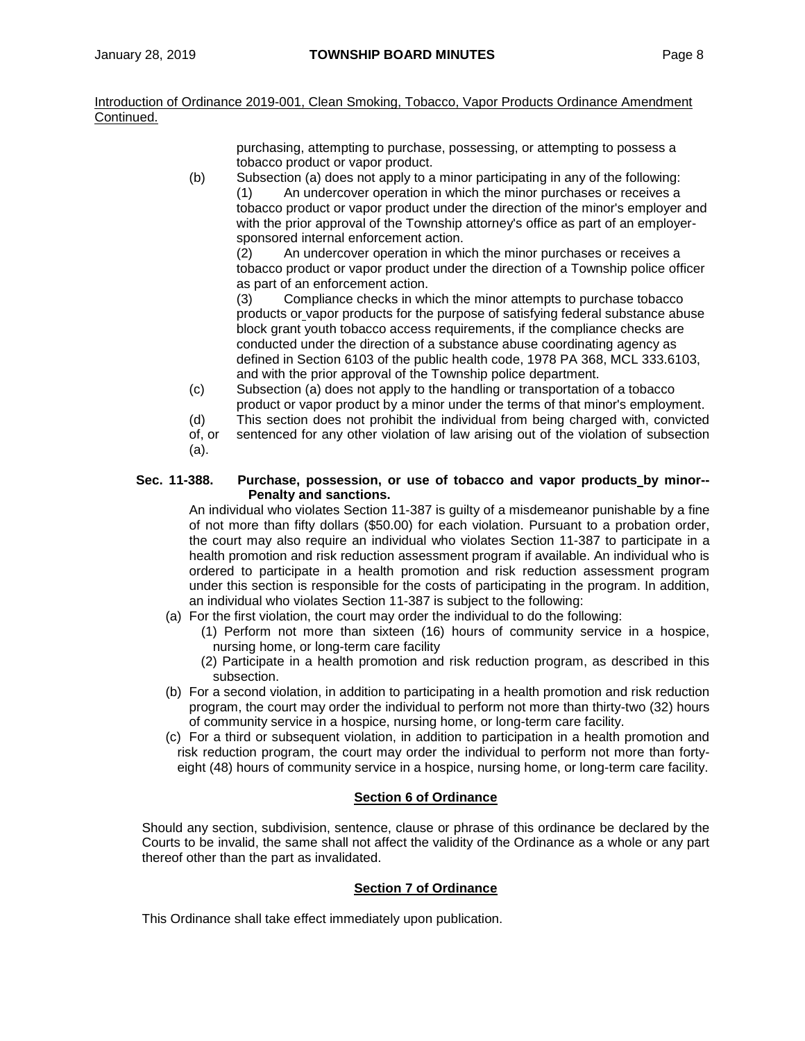Introduction of Ordinance 2019-001, Clean Smoking, Tobacco, Vapor Products Ordinance Amendment Continued.

> purchasing, attempting to purchase, possessing, or attempting to possess a tobacco product or vapor product.

(b) Subsection (a) does not apply to a minor participating in any of the following: (1) An undercover operation in which the minor purchases or receives a tobacco product or vapor product under the direction of the minor's employer and with the prior approval of the Township attorney's office as part of an employersponsored internal enforcement action.

(2) An undercover operation in which the minor purchases or receives a tobacco product or vapor product under the direction of a Township police officer as part of an enforcement action.

(3) Compliance checks in which the minor attempts to purchase tobacco products or vapor products for the purpose of satisfying federal substance abuse block grant youth tobacco access requirements, if the compliance checks are conducted under the direction of a substance abuse coordinating agency as defined in Section 6103 of the public health code, 1978 PA 368, MCL 333.6103, and with the prior approval of the Township police department.

- (c) Subsection (a) does not apply to the handling or transportation of a tobacco product or vapor product by a minor under the terms of that minor's employment.
- (d) This section does not prohibit the individual from being charged with, convicted
- of, or sentenced for any other violation of law arising out of the violation of subsection (a).

# **Sec. 11-388. Purchase, possession, or use of tobacco and vapor products by minor-- Penalty and sanctions.**

An individual who violates Section 11-387 is guilty of a misdemeanor punishable by a fine of not more than fifty dollars (\$50.00) for each violation. Pursuant to a probation order, the court may also require an individual who violates Section 11-387 to participate in a health promotion and risk reduction assessment program if available. An individual who is ordered to participate in a health promotion and risk reduction assessment program under this section is responsible for the costs of participating in the program. In addition, an individual who violates Section 11-387 is subject to the following:

- (a) For the first violation, the court may order the individual to do the following:
	- (1) Perform not more than sixteen (16) hours of community service in a hospice, nursing home, or long-term care facility
	- (2) Participate in a health promotion and risk reduction program, as described in this subsection.
- (b) For a second violation, in addition to participating in a health promotion and risk reduction program, the court may order the individual to perform not more than thirty-two (32) hours of community service in a hospice, nursing home, or long-term care facility.
- (c) For a third or subsequent violation, in addition to participation in a health promotion and risk reduction program, the court may order the individual to perform not more than fortyeight (48) hours of community service in a hospice, nursing home, or long-term care facility.

# **Section 6 of Ordinance**

Should any section, subdivision, sentence, clause or phrase of this ordinance be declared by the Courts to be invalid, the same shall not affect the validity of the Ordinance as a whole or any part thereof other than the part as invalidated.

# **Section 7 of Ordinance**

This Ordinance shall take effect immediately upon publication.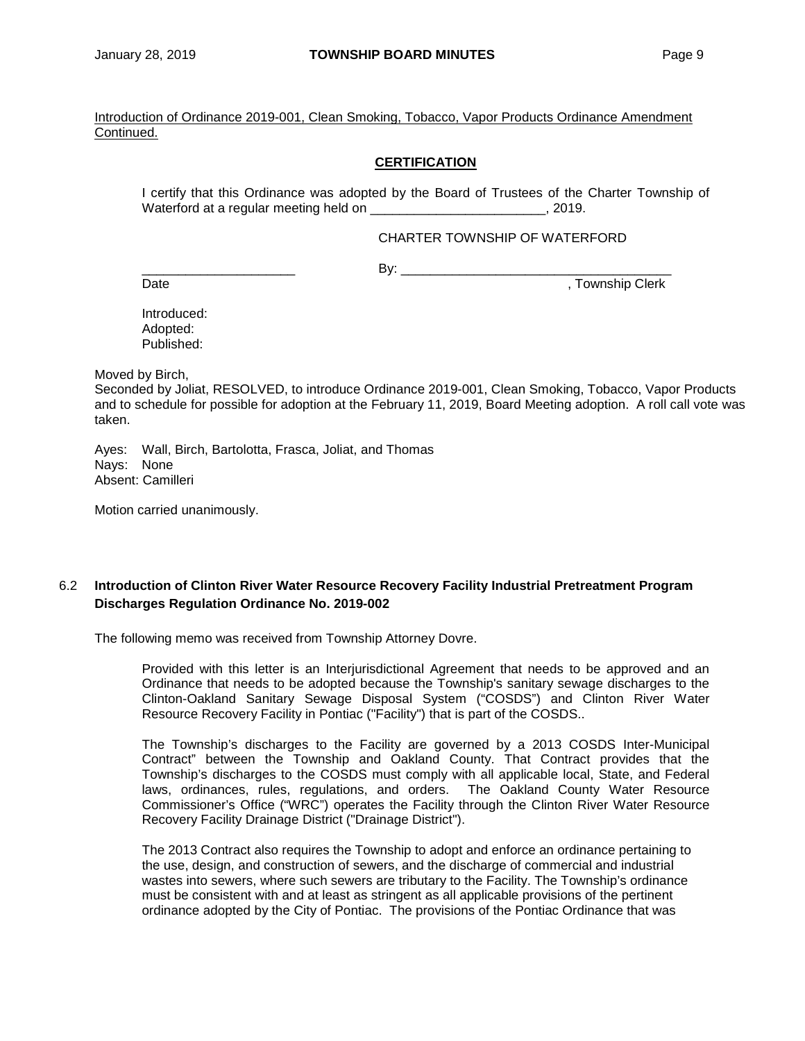Introduction of Ordinance 2019-001, Clean Smoking, Tobacco, Vapor Products Ordinance Amendment Continued.

# **CERTIFICATION**

I certify that this Ordinance was adopted by the Board of Trustees of the Charter Township of Waterford at a regular meeting held on \_\_\_\_\_\_\_\_\_\_\_\_\_\_\_\_\_\_\_\_\_\_\_\_\_\_\_, 2019.

# CHARTER TOWNSHIP OF WATERFORD

\_\_\_\_\_\_\_\_\_\_\_\_\_\_\_\_\_\_\_\_\_ By: \_\_\_\_\_\_\_\_\_\_\_\_\_\_\_\_\_\_\_\_\_\_\_\_\_\_\_\_\_\_\_\_\_\_\_\_\_

, Township Clerk

Introduced: Adopted: Published:

Moved by Birch,

Seconded by Joliat, RESOLVED, to introduce Ordinance 2019-001, Clean Smoking, Tobacco, Vapor Products and to schedule for possible for adoption at the February 11, 2019, Board Meeting adoption. A roll call vote was taken.

Ayes: Wall, Birch, Bartolotta, Frasca, Joliat, and Thomas Nays: None Absent: Camilleri

Motion carried unanimously.

# 6.2 **Introduction of Clinton River Water Resource Recovery Facility Industrial Pretreatment Program Discharges Regulation Ordinance No. 2019-002**

The following memo was received from Township Attorney Dovre.

Provided with this letter is an Interjurisdictional Agreement that needs to be approved and an Ordinance that needs to be adopted because the Township's sanitary sewage discharges to the Clinton-Oakland Sanitary Sewage Disposal System ("COSDS") and Clinton River Water Resource Recovery Facility in Pontiac ("Facility") that is part of the COSDS..

The Township's discharges to the Facility are governed by a 2013 COSDS Inter-Municipal Contract" between the Township and Oakland County. That Contract provides that the Township's discharges to the COSDS must comply with all applicable local, State, and Federal laws, ordinances, rules, regulations, and orders. The Oakland County Water Resource Commissioner's Office ("WRC") operates the Facility through the Clinton River Water Resource Recovery Facility Drainage District ("Drainage District").

The 2013 Contract also requires the Township to adopt and enforce an ordinance pertaining to the use, design, and construction of sewers, and the discharge of commercial and industrial wastes into sewers, where such sewers are tributary to the Facility. The Township's ordinance must be consistent with and at least as stringent as all applicable provisions of the pertinent ordinance adopted by the City of Pontiac. The provisions of the Pontiac Ordinance that was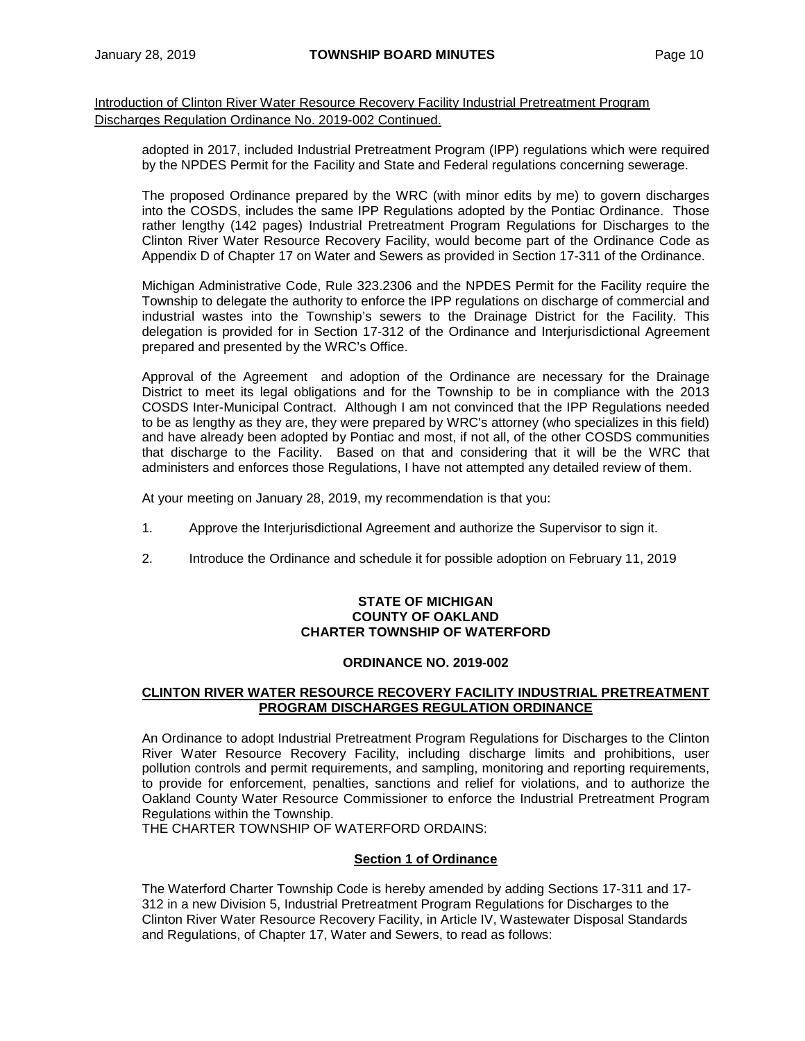Introduction of Clinton River Water Resource Recovery Facility Industrial Pretreatment Program Discharges Regulation Ordinance No. 2019-002 Continued.

adopted in 2017, included Industrial Pretreatment Program (IPP) regulations which were required by the NPDES Permit for the Facility and State and Federal regulations concerning sewerage.

The proposed Ordinance prepared by the WRC (with minor edits by me) to govern discharges into the COSDS, includes the same IPP Regulations adopted by the Pontiac Ordinance. Those rather lengthy (142 pages) Industrial Pretreatment Program Regulations for Discharges to the Clinton River Water Resource Recovery Facility, would become part of the Ordinance Code as Appendix D of Chapter 17 on Water and Sewers as provided in Section 17-311 of the Ordinance.

Michigan Administrative Code, Rule 323.2306 and the NPDES Permit for the Facility require the Township to delegate the authority to enforce the IPP regulations on discharge of commercial and industrial wastes into the Township's sewers to the Drainage District for the Facility. This delegation is provided for in Section 17-312 of the Ordinance and Interjurisdictional Agreement prepared and presented by the WRC's Office.

Approval of the Agreement and adoption of the Ordinance are necessary for the Drainage District to meet its legal obligations and for the Township to be in compliance with the 2013 COSDS Inter-Municipal Contract. Although I am not convinced that the IPP Regulations needed to be as lengthy as they are, they were prepared by WRC's attorney (who specializes in this field) and have already been adopted by Pontiac and most, if not all, of the other COSDS communities that discharge to the Facility. Based on that and considering that it will be the WRC that administers and enforces those Regulations, I have not attempted any detailed review of them.

At your meeting on January 28, 2019, my recommendation is that you:

- 1. Approve the Interjurisdictional Agreement and authorize the Supervisor to sign it.
- 2. Introduce the Ordinance and schedule it for possible adoption on February 11, 2019

# **STATE OF MICHIGAN COUNTY OF OAKLAND CHARTER TOWNSHIP OF WATERFORD**

#### **ORDINANCE NO. 2019-002**

#### **CLINTON RIVER WATER RESOURCE RECOVERY FACILITY INDUSTRIAL PRETREATMENT PROGRAM DISCHARGES REGULATION ORDINANCE**

An Ordinance to adopt Industrial Pretreatment Program Regulations for Discharges to the Clinton River Water Resource Recovery Facility, including discharge limits and prohibitions, user pollution controls and permit requirements, and sampling, monitoring and reporting requirements, to provide for enforcement, penalties, sanctions and relief for violations, and to authorize the Oakland County Water Resource Commissioner to enforce the Industrial Pretreatment Program Regulations within the Township.

THE CHARTER TOWNSHIP OF WATERFORD ORDAINS:

#### **Section 1 of Ordinance**

The Waterford Charter Township Code is hereby amended by adding Sections 17-311 and 17- 312 in a new Division 5, Industrial Pretreatment Program Regulations for Discharges to the Clinton River Water Resource Recovery Facility, in Article IV, Wastewater Disposal Standards and Regulations, of Chapter 17, Water and Sewers, to read as follows: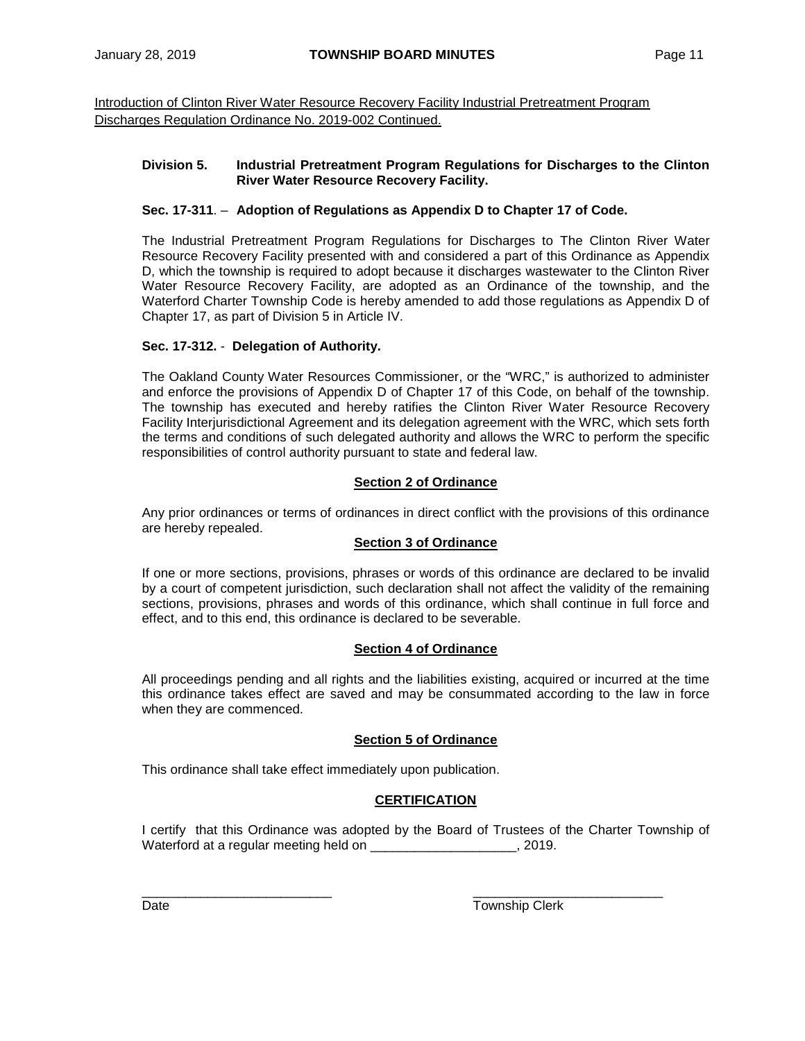Introduction of Clinton River Water Resource Recovery Facility Industrial Pretreatment Program Discharges Regulation Ordinance No. 2019-002 Continued.

# **Division 5. Industrial Pretreatment Program Regulations for Discharges to the Clinton River Water Resource Recovery Facility.**

# **Sec. 17-311**. – **Adoption of Regulations as Appendix D to Chapter 17 of Code.**

The Industrial Pretreatment Program Regulations for Discharges to The Clinton River Water Resource Recovery Facility presented with and considered a part of this Ordinance as Appendix D, which the township is required to adopt because it discharges wastewater to the Clinton River Water Resource Recovery Facility, are adopted as an Ordinance of the township, and the Waterford Charter Township Code is hereby amended to add those regulations as Appendix D of Chapter 17, as part of Division 5 in Article IV.

# **Sec. 17-312.** - **Delegation of Authority.**

The Oakland County Water Resources Commissioner, or the "WRC," is authorized to administer and enforce the provisions of Appendix D of Chapter 17 of this Code, on behalf of the township. The township has executed and hereby ratifies the Clinton River Water Resource Recovery Facility Interjurisdictional Agreement and its delegation agreement with the WRC, which sets forth the terms and conditions of such delegated authority and allows the WRC to perform the specific responsibilities of control authority pursuant to state and federal law.

# **Section 2 of Ordinance**

Any prior ordinances or terms of ordinances in direct conflict with the provisions of this ordinance are hereby repealed.

#### **Section 3 of Ordinance**

If one or more sections, provisions, phrases or words of this ordinance are declared to be invalid by a court of competent jurisdiction, such declaration shall not affect the validity of the remaining sections, provisions, phrases and words of this ordinance, which shall continue in full force and effect, and to this end, this ordinance is declared to be severable.

#### **Section 4 of Ordinance**

All proceedings pending and all rights and the liabilities existing, acquired or incurred at the time this ordinance takes effect are saved and may be consummated according to the law in force when they are commenced.

#### **Section 5 of Ordinance**

This ordinance shall take effect immediately upon publication.

# **CERTIFICATION**

I certify that this Ordinance was adopted by the Board of Trustees of the Charter Township of Waterford at a regular meeting held on \_\_\_\_\_\_\_\_\_\_\_\_\_\_\_\_\_\_\_\_\_\_\_, 2019.

\_\_\_\_\_\_\_\_\_\_\_\_\_\_\_\_\_\_\_\_\_\_\_\_\_\_ \_\_\_\_\_\_\_\_\_\_\_\_\_\_\_\_\_\_\_\_\_\_\_\_\_\_

Date **Township Clerk**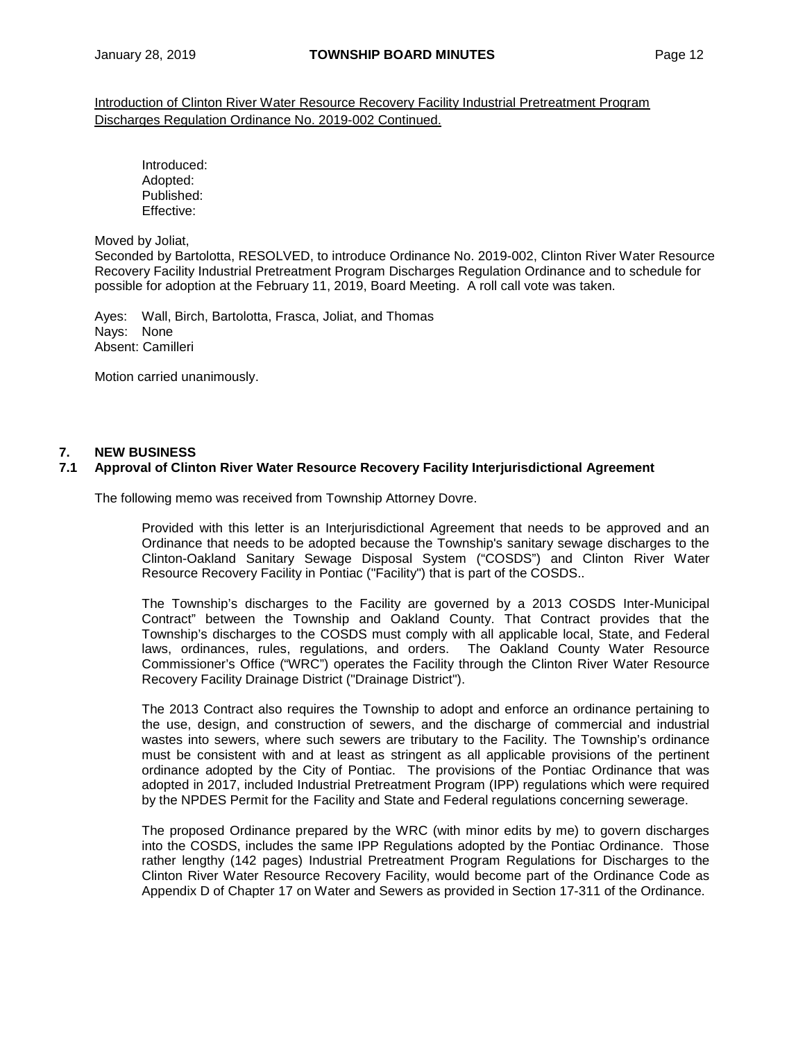Introduction of Clinton River Water Resource Recovery Facility Industrial Pretreatment Program Discharges Regulation Ordinance No. 2019-002 Continued.

Introduced: Adopted: Published: Effective:

Moved by Joliat,

Seconded by Bartolotta, RESOLVED, to introduce Ordinance No. 2019-002, Clinton River Water Resource Recovery Facility Industrial Pretreatment Program Discharges Regulation Ordinance and to schedule for possible for adoption at the February 11, 2019, Board Meeting. A roll call vote was taken.

Ayes: Wall, Birch, Bartolotta, Frasca, Joliat, and Thomas Nays: None Absent: Camilleri

Motion carried unanimously.

# **7. NEW BUSINESS**

# **7.1 Approval of Clinton River Water Resource Recovery Facility Interjurisdictional Agreement**

The following memo was received from Township Attorney Dovre.

Provided with this letter is an Interjurisdictional Agreement that needs to be approved and an Ordinance that needs to be adopted because the Township's sanitary sewage discharges to the Clinton-Oakland Sanitary Sewage Disposal System ("COSDS") and Clinton River Water Resource Recovery Facility in Pontiac ("Facility") that is part of the COSDS..

The Township's discharges to the Facility are governed by a 2013 COSDS Inter-Municipal Contract" between the Township and Oakland County. That Contract provides that the Township's discharges to the COSDS must comply with all applicable local, State, and Federal laws, ordinances, rules, regulations, and orders. The Oakland County Water Resource Commissioner's Office ("WRC") operates the Facility through the Clinton River Water Resource Recovery Facility Drainage District ("Drainage District").

The 2013 Contract also requires the Township to adopt and enforce an ordinance pertaining to the use, design, and construction of sewers, and the discharge of commercial and industrial wastes into sewers, where such sewers are tributary to the Facility. The Township's ordinance must be consistent with and at least as stringent as all applicable provisions of the pertinent ordinance adopted by the City of Pontiac. The provisions of the Pontiac Ordinance that was adopted in 2017, included Industrial Pretreatment Program (IPP) regulations which were required by the NPDES Permit for the Facility and State and Federal regulations concerning sewerage.

The proposed Ordinance prepared by the WRC (with minor edits by me) to govern discharges into the COSDS, includes the same IPP Regulations adopted by the Pontiac Ordinance. Those rather lengthy (142 pages) Industrial Pretreatment Program Regulations for Discharges to the Clinton River Water Resource Recovery Facility, would become part of the Ordinance Code as Appendix D of Chapter 17 on Water and Sewers as provided in Section 17-311 of the Ordinance.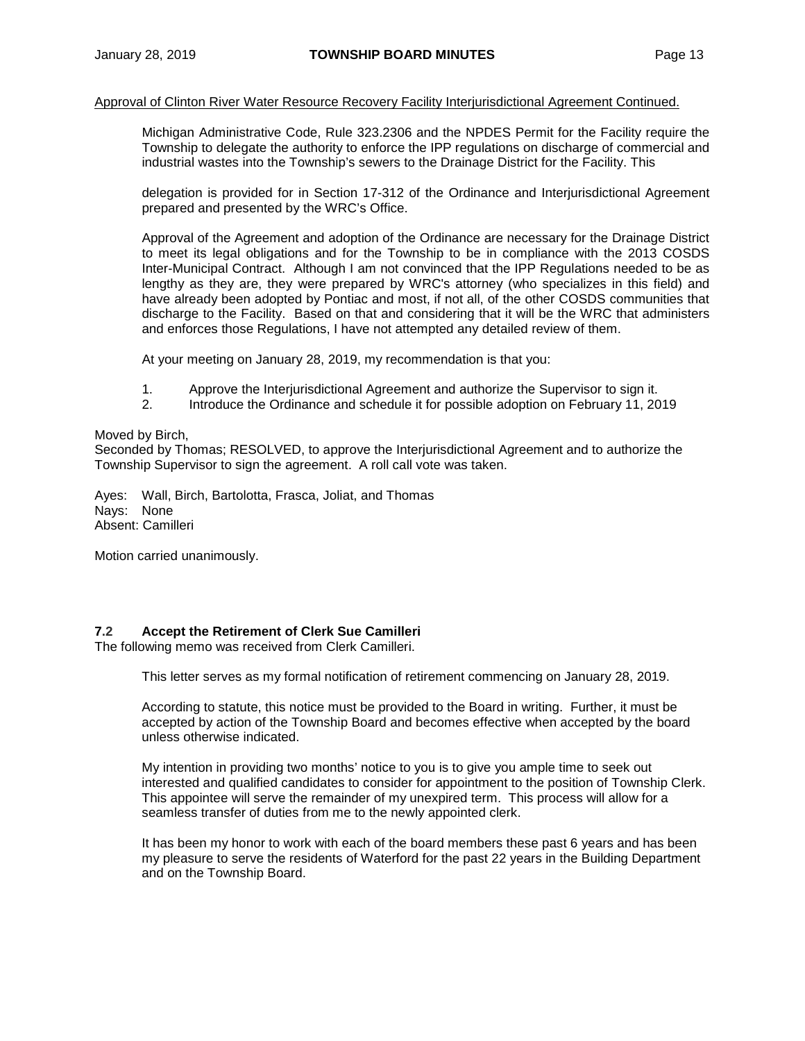#### Approval of Clinton River Water Resource Recovery Facility Interjurisdictional Agreement Continued.

Michigan Administrative Code, Rule 323.2306 and the NPDES Permit for the Facility require the Township to delegate the authority to enforce the IPP regulations on discharge of commercial and industrial wastes into the Township's sewers to the Drainage District for the Facility. This

delegation is provided for in Section 17-312 of the Ordinance and Interjurisdictional Agreement prepared and presented by the WRC's Office.

Approval of the Agreement and adoption of the Ordinance are necessary for the Drainage District to meet its legal obligations and for the Township to be in compliance with the 2013 COSDS Inter-Municipal Contract. Although I am not convinced that the IPP Regulations needed to be as lengthy as they are, they were prepared by WRC's attorney (who specializes in this field) and have already been adopted by Pontiac and most, if not all, of the other COSDS communities that discharge to the Facility. Based on that and considering that it will be the WRC that administers and enforces those Regulations, I have not attempted any detailed review of them.

At your meeting on January 28, 2019, my recommendation is that you:

- 1. Approve the Interjurisdictional Agreement and authorize the Supervisor to sign it.<br>2. Introduce the Ordinance and schedule it for possible adoption on February 11, 20
- 2. Introduce the Ordinance and schedule it for possible adoption on February 11, 2019

#### Moved by Birch,

Seconded by Thomas; RESOLVED, to approve the Interjurisdictional Agreement and to authorize the Township Supervisor to sign the agreement. A roll call vote was taken.

Ayes: Wall, Birch, Bartolotta, Frasca, Joliat, and Thomas Nays: None Absent: Camilleri

Motion carried unanimously.

# **7.2 Accept the Retirement of Clerk Sue Camilleri**

The following memo was received from Clerk Camilleri.

This letter serves as my formal notification of retirement commencing on January 28, 2019.

According to statute, this notice must be provided to the Board in writing. Further, it must be accepted by action of the Township Board and becomes effective when accepted by the board unless otherwise indicated.

My intention in providing two months' notice to you is to give you ample time to seek out interested and qualified candidates to consider for appointment to the position of Township Clerk. This appointee will serve the remainder of my unexpired term. This process will allow for a seamless transfer of duties from me to the newly appointed clerk.

It has been my honor to work with each of the board members these past 6 years and has been my pleasure to serve the residents of Waterford for the past 22 years in the Building Department and on the Township Board.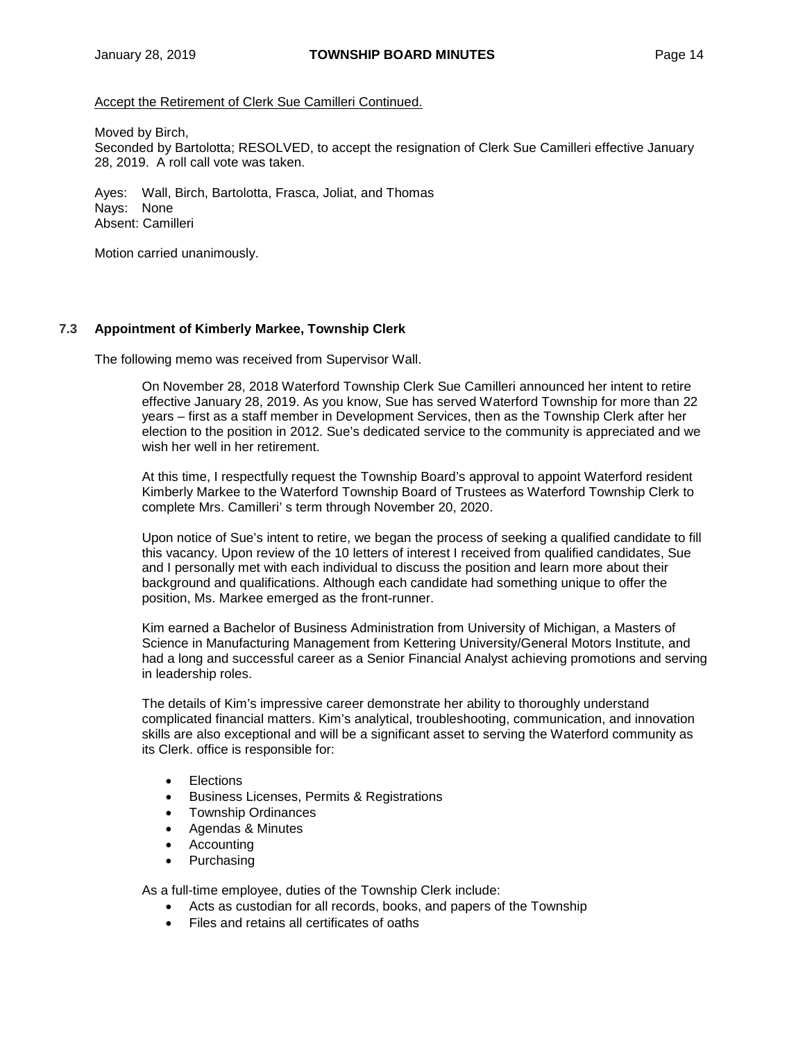# Accept the Retirement of Clerk Sue Camilleri Continued.

Moved by Birch,

Seconded by Bartolotta; RESOLVED, to accept the resignation of Clerk Sue Camilleri effective January 28, 2019. A roll call vote was taken.

Ayes: Wall, Birch, Bartolotta, Frasca, Joliat, and Thomas Nays: None Absent: Camilleri

Motion carried unanimously.

# **7.3 Appointment of Kimberly Markee, Township Clerk**

The following memo was received from Supervisor Wall.

On November 28, 2018 Waterford Township Clerk Sue Camilleri announced her intent to retire effective January 28, 2019. As you know, Sue has served Waterford Township for more than 22 years – first as a staff member in Development Services, then as the Township Clerk after her election to the position in 2012. Sue's dedicated service to the community is appreciated and we wish her well in her retirement.

At this time, I respectfully request the Township Board's approval to appoint Waterford resident Kimberly Markee to the Waterford Township Board of Trustees as Waterford Township Clerk to complete Mrs. Camilleri' s term through November 20, 2020.

Upon notice of Sue's intent to retire, we began the process of seeking a qualified candidate to fill this vacancy. Upon review of the 10 letters of interest I received from qualified candidates, Sue and I personally met with each individual to discuss the position and learn more about their background and qualifications. Although each candidate had something unique to offer the position, Ms. Markee emerged as the front-runner.

Kim earned a Bachelor of Business Administration from University of Michigan, a Masters of Science in Manufacturing Management from Kettering University/General Motors Institute, and had a long and successful career as a Senior Financial Analyst achieving promotions and serving in leadership roles.

The details of Kim's impressive career demonstrate her ability to thoroughly understand complicated financial matters. Kim's analytical, troubleshooting, communication, and innovation skills are also exceptional and will be a significant asset to serving the Waterford community as its Clerk. office is responsible for:

- **Elections**
- Business Licenses, Permits & Registrations
- Township Ordinances
- Agendas & Minutes
- Accounting
- Purchasing

As a full-time employee, duties of the Township Clerk include:

- Acts as custodian for all records, books, and papers of the Township
- Files and retains all certificates of oaths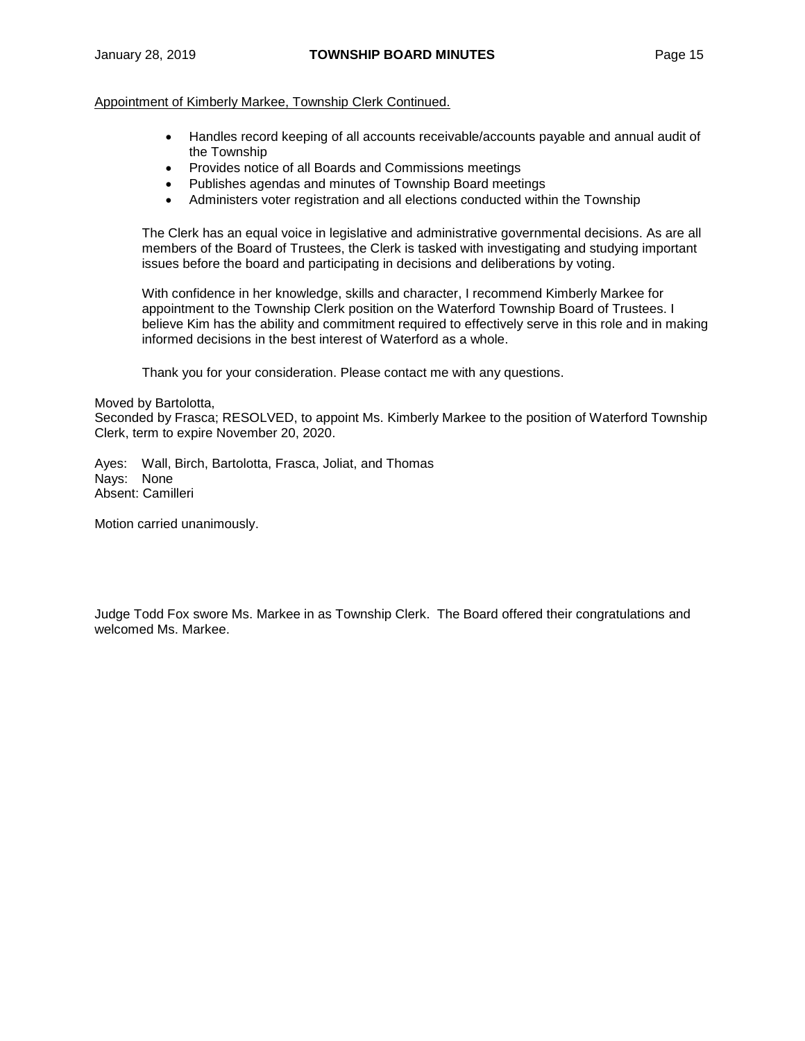# Appointment of Kimberly Markee, Township Clerk Continued.

- Handles record keeping of all accounts receivable/accounts payable and annual audit of the Township
- Provides notice of all Boards and Commissions meetings
- Publishes agendas and minutes of Township Board meetings
- Administers voter registration and all elections conducted within the Township

The Clerk has an equal voice in legislative and administrative governmental decisions. As are all members of the Board of Trustees, the Clerk is tasked with investigating and studying important issues before the board and participating in decisions and deliberations by voting.

With confidence in her knowledge, skills and character, I recommend Kimberly Markee for appointment to the Township Clerk position on the Waterford Township Board of Trustees. I believe Kim has the ability and commitment required to effectively serve in this role and in making informed decisions in the best interest of Waterford as a whole.

Thank you for your consideration. Please contact me with any questions.

#### Moved by Bartolotta,

Seconded by Frasca; RESOLVED, to appoint Ms. Kimberly Markee to the position of Waterford Township Clerk, term to expire November 20, 2020.

Ayes: Wall, Birch, Bartolotta, Frasca, Joliat, and Thomas Nays: None Absent: Camilleri

Motion carried unanimously.

Judge Todd Fox swore Ms. Markee in as Township Clerk. The Board offered their congratulations and welcomed Ms. Markee.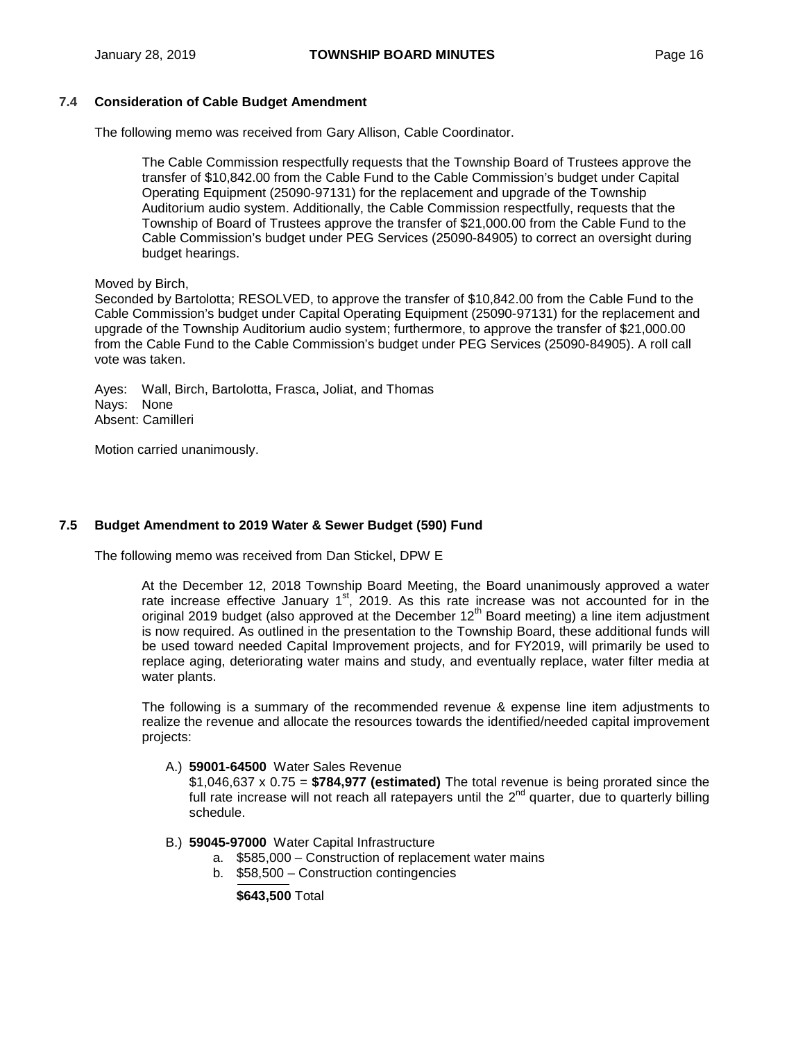# **7.4 Consideration of Cable Budget Amendment**

The following memo was received from Gary Allison, Cable Coordinator.

The Cable Commission respectfully requests that the Township Board of Trustees approve the transfer of \$10,842.00 from the Cable Fund to the Cable Commission's budget under Capital Operating Equipment (25090-97131) for the replacement and upgrade of the Township Auditorium audio system. Additionally, the Cable Commission respectfully, requests that the Township of Board of Trustees approve the transfer of \$21,000.00 from the Cable Fund to the Cable Commission's budget under PEG Services (25090-84905) to correct an oversight during budget hearings.

# Moved by Birch,

Seconded by Bartolotta; RESOLVED, to approve the transfer of \$10,842.00 from the Cable Fund to the Cable Commission's budget under Capital Operating Equipment (25090-97131) for the replacement and upgrade of the Township Auditorium audio system; furthermore, to approve the transfer of \$21,000.00 from the Cable Fund to the Cable Commission's budget under PEG Services (25090-84905). A roll call vote was taken.

Ayes: Wall, Birch, Bartolotta, Frasca, Joliat, and Thomas Nays: None Absent: Camilleri

Motion carried unanimously.

#### **7.5 Budget Amendment to 2019 Water & Sewer Budget (590) Fund**

The following memo was received from Dan Stickel, DPW E

At the December 12, 2018 Township Board Meeting, the Board unanimously approved a water rate increase effective January  $1<sup>st</sup>$ , 2019. As this rate increase was not accounted for in the original 2019 budget (also approved at the December  $12<sup>th</sup>$  Board meeting) a line item adjustment is now required. As outlined in the presentation to the Township Board, these additional funds will be used toward needed Capital Improvement projects, and for FY2019, will primarily be used to replace aging, deteriorating water mains and study, and eventually replace, water filter media at water plants.

The following is a summary of the recommended revenue & expense line item adjustments to realize the revenue and allocate the resources towards the identified/needed capital improvement projects:

A.) **59001-64500** Water Sales Revenue

\$1,046,637 x 0.75 = **\$784,977 (estimated)** The total revenue is being prorated since the full rate increase will not reach all ratepayers until the  $2^{nd}$  quarter, due to quarterly billing schedule.

- B.) **59045-97000** Water Capital Infrastructure
	- a. \$585,000 Construction of replacement water mains
	- b. \$58,500 Construction contingencies

**\$643,500** Total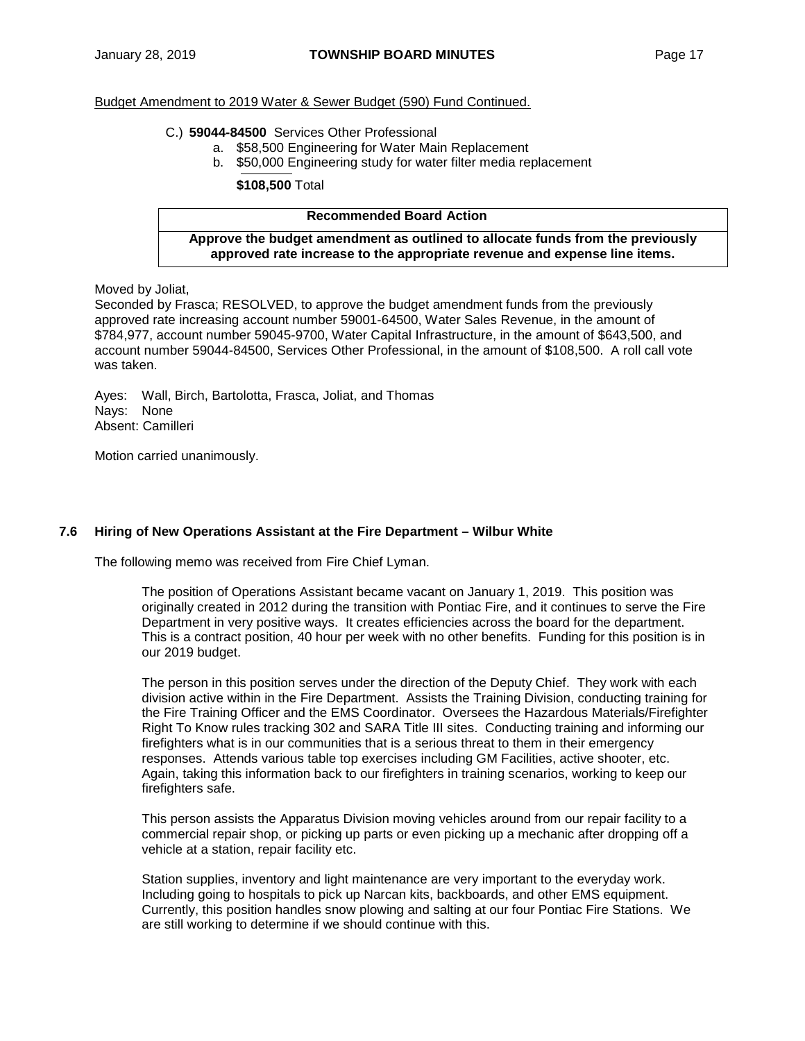#### Budget Amendment to 2019 Water & Sewer Budget (590) Fund Continued.

#### C.) **59044-84500** Services Other Professional

- a. \$58,500 Engineering for Water Main Replacement
- b. \$50,000 Engineering study for water filter media replacement

**\$108,500** Total

#### **Recommended Board Action**

#### **Approve the budget amendment as outlined to allocate funds from the previously approved rate increase to the appropriate revenue and expense line items.**

Moved by Joliat,

Seconded by Frasca; RESOLVED, to approve the budget amendment funds from the previously approved rate increasing account number 59001-64500, Water Sales Revenue, in the amount of \$784,977, account number 59045-9700, Water Capital Infrastructure, in the amount of \$643,500, and account number 59044-84500, Services Other Professional, in the amount of \$108,500. A roll call vote was taken.

Ayes: Wall, Birch, Bartolotta, Frasca, Joliat, and Thomas Nays: None Absent: Camilleri

Motion carried unanimously.

#### **7.6 Hiring of New Operations Assistant at the Fire Department – Wilbur White**

The following memo was received from Fire Chief Lyman.

The position of Operations Assistant became vacant on January 1, 2019. This position was originally created in 2012 during the transition with Pontiac Fire, and it continues to serve the Fire Department in very positive ways. It creates efficiencies across the board for the department. This is a contract position, 40 hour per week with no other benefits. Funding for this position is in our 2019 budget.

The person in this position serves under the direction of the Deputy Chief. They work with each division active within in the Fire Department. Assists the Training Division, conducting training for the Fire Training Officer and the EMS Coordinator. Oversees the Hazardous Materials/Firefighter Right To Know rules tracking 302 and SARA Title III sites. Conducting training and informing our firefighters what is in our communities that is a serious threat to them in their emergency responses. Attends various table top exercises including GM Facilities, active shooter, etc. Again, taking this information back to our firefighters in training scenarios, working to keep our firefighters safe.

This person assists the Apparatus Division moving vehicles around from our repair facility to a commercial repair shop, or picking up parts or even picking up a mechanic after dropping off a vehicle at a station, repair facility etc.

Station supplies, inventory and light maintenance are very important to the everyday work. Including going to hospitals to pick up Narcan kits, backboards, and other EMS equipment. Currently, this position handles snow plowing and salting at our four Pontiac Fire Stations. We are still working to determine if we should continue with this.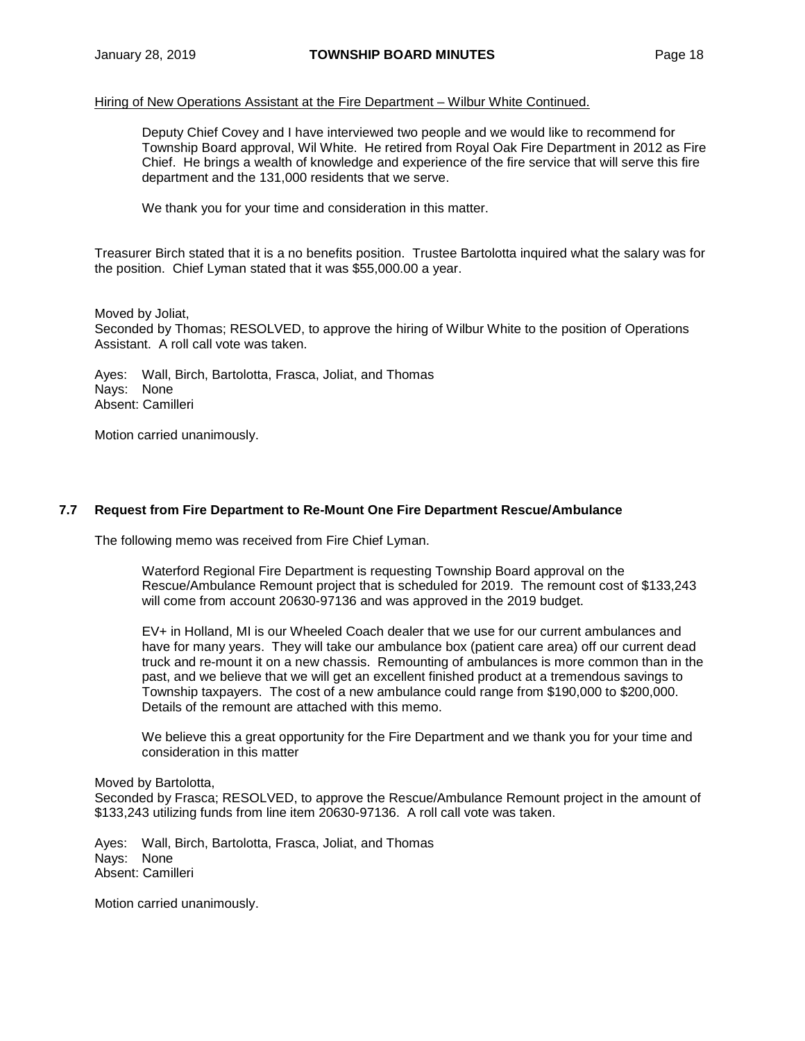Hiring of New Operations Assistant at the Fire Department – Wilbur White Continued.

Deputy Chief Covey and I have interviewed two people and we would like to recommend for Township Board approval, Wil White. He retired from Royal Oak Fire Department in 2012 as Fire Chief. He brings a wealth of knowledge and experience of the fire service that will serve this fire department and the 131,000 residents that we serve.

We thank you for your time and consideration in this matter.

Treasurer Birch stated that it is a no benefits position. Trustee Bartolotta inquired what the salary was for the position. Chief Lyman stated that it was \$55,000.00 a year.

Moved by Joliat,

Seconded by Thomas; RESOLVED, to approve the hiring of Wilbur White to the position of Operations Assistant.A roll call vote was taken.

Ayes: Wall, Birch, Bartolotta, Frasca, Joliat, and Thomas Nays: None Absent: Camilleri

Motion carried unanimously.

#### **7.7 Request from Fire Department to Re-Mount One Fire Department Rescue/Ambulance**

The following memo was received from Fire Chief Lyman.

Waterford Regional Fire Department is requesting Township Board approval on the Rescue/Ambulance Remount project that is scheduled for 2019. The remount cost of \$133,243 will come from account 20630-97136 and was approved in the 2019 budget.

EV+ in Holland, MI is our Wheeled Coach dealer that we use for our current ambulances and have for many years. They will take our ambulance box (patient care area) off our current dead truck and re-mount it on a new chassis. Remounting of ambulances is more common than in the past, and we believe that we will get an excellent finished product at a tremendous savings to Township taxpayers. The cost of a new ambulance could range from \$190,000 to \$200,000. Details of the remount are attached with this memo.

We believe this a great opportunity for the Fire Department and we thank you for your time and consideration in this matter

Moved by Bartolotta, Seconded by Frasca; RESOLVED, to approve the Rescue/Ambulance Remount project in the amount of \$133,243 utilizing funds from line item 20630-97136. A roll call vote was taken.

Ayes: Wall, Birch, Bartolotta, Frasca, Joliat, and Thomas Nays: None Absent: Camilleri

Motion carried unanimously.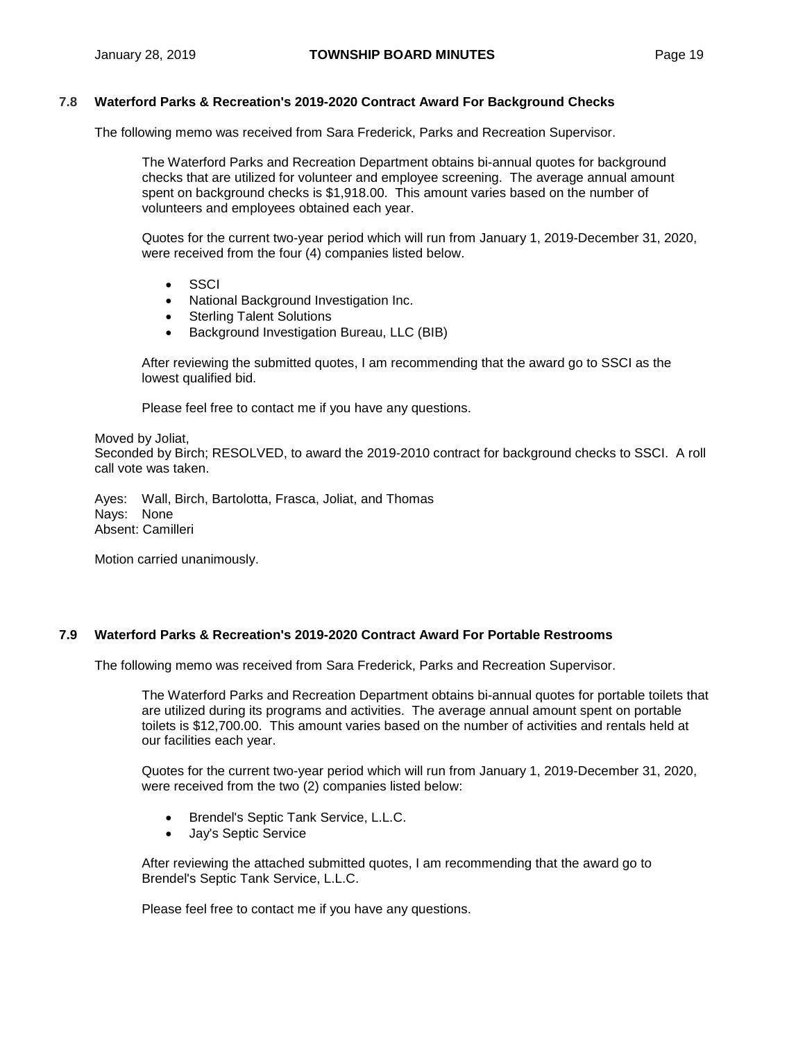# **7.8 Waterford Parks & Recreation's 2019-2020 Contract Award For Background Checks**

The following memo was received from Sara Frederick, Parks and Recreation Supervisor.

The Waterford Parks and Recreation Department obtains bi-annual quotes for background checks that are utilized for volunteer and employee screening. The average annual amount spent on background checks is \$1,918.00. This amount varies based on the number of volunteers and employees obtained each year.

Quotes for the current two-year period which will run from January 1, 2019-December 31, 2020, were received from the four (4) companies listed below.

- **SSCI**
- National Background Investigation Inc.
- Sterling Talent Solutions
- Background Investigation Bureau, LLC (BIB)

After reviewing the submitted quotes, I am recommending that the award go to SSCI as the lowest qualified bid.

Please feel free to contact me if you have any questions.

Moved by Joliat,

Seconded by Birch; RESOLVED, to award the 2019-2010 contract for background checks to SSCI. A roll call vote was taken.

Ayes: Wall, Birch, Bartolotta, Frasca, Joliat, and Thomas Nays: None Absent: Camilleri

Motion carried unanimously.

#### **7.9 Waterford Parks & Recreation's 2019-2020 Contract Award For Portable Restrooms**

The following memo was received from Sara Frederick, Parks and Recreation Supervisor.

The Waterford Parks and Recreation Department obtains bi-annual quotes for portable toilets that are utilized during its programs and activities. The average annual amount spent on portable toilets is \$12,700.00. This amount varies based on the number of activities and rentals held at our facilities each year.

Quotes for the current two-year period which will run from January 1, 2019-December 31, 2020, were received from the two (2) companies listed below:

- Brendel's Septic Tank Service, L.L.C.
- Jay's Septic Service

After reviewing the attached submitted quotes, I am recommending that the award go to Brendel's Septic Tank Service, L.L.C.

Please feel free to contact me if you have any questions.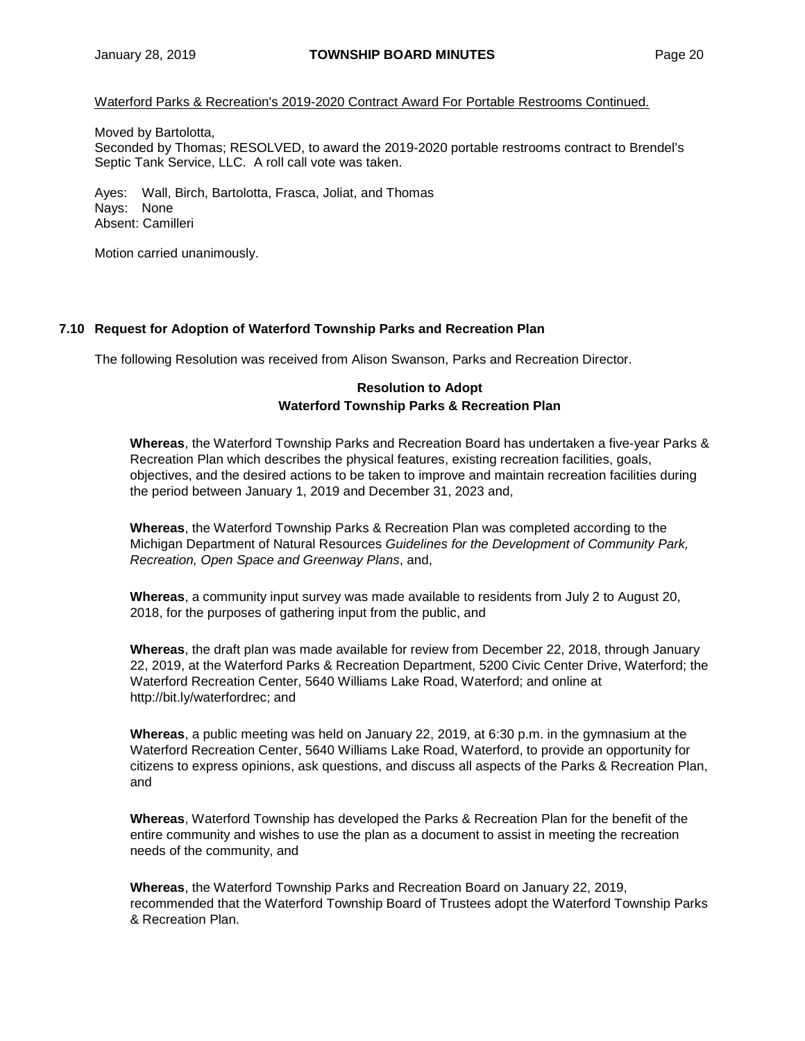# Waterford Parks & Recreation's 2019-2020 Contract Award For Portable Restrooms Continued.

#### Moved by Bartolotta,

Seconded by Thomas; RESOLVED, to award the 2019-2020 portable restrooms contract to Brendel's Septic Tank Service, LLC. A roll call vote was taken.

Ayes: Wall, Birch, Bartolotta, Frasca, Joliat, and Thomas Nays: None Absent: Camilleri

Motion carried unanimously.

# **7.10 Request for Adoption of Waterford Township Parks and Recreation Plan**

The following Resolution was received from Alison Swanson, Parks and Recreation Director.

# **Resolution to Adopt Waterford Township Parks & Recreation Plan**

**Whereas**, the Waterford Township Parks and Recreation Board has undertaken a five-year Parks & Recreation Plan which describes the physical features, existing recreation facilities, goals, objectives, and the desired actions to be taken to improve and maintain recreation facilities during the period between January 1, 2019 and December 31, 2023 and,

**Whereas**, the Waterford Township Parks & Recreation Plan was completed according to the Michigan Department of Natural Resources *Guidelines for the Development of Community Park, Recreation, Open Space and Greenway Plans*, and,

**Whereas**, a community input survey was made available to residents from July 2 to August 20, 2018, for the purposes of gathering input from the public, and

**Whereas**, the draft plan was made available for review from December 22, 2018, through January 22, 2019, at the Waterford Parks & Recreation Department, 5200 Civic Center Drive, Waterford; the Waterford Recreation Center, 5640 Williams Lake Road, Waterford; and online at http://bit.ly/waterfordrec; and

**Whereas**, a public meeting was held on January 22, 2019, at 6:30 p.m. in the gymnasium at the Waterford Recreation Center, 5640 Williams Lake Road, Waterford, to provide an opportunity for citizens to express opinions, ask questions, and discuss all aspects of the Parks & Recreation Plan, and

**Whereas**, Waterford Township has developed the Parks & Recreation Plan for the benefit of the entire community and wishes to use the plan as a document to assist in meeting the recreation needs of the community, and

**Whereas**, the Waterford Township Parks and Recreation Board on January 22, 2019, recommended that the Waterford Township Board of Trustees adopt the Waterford Township Parks & Recreation Plan.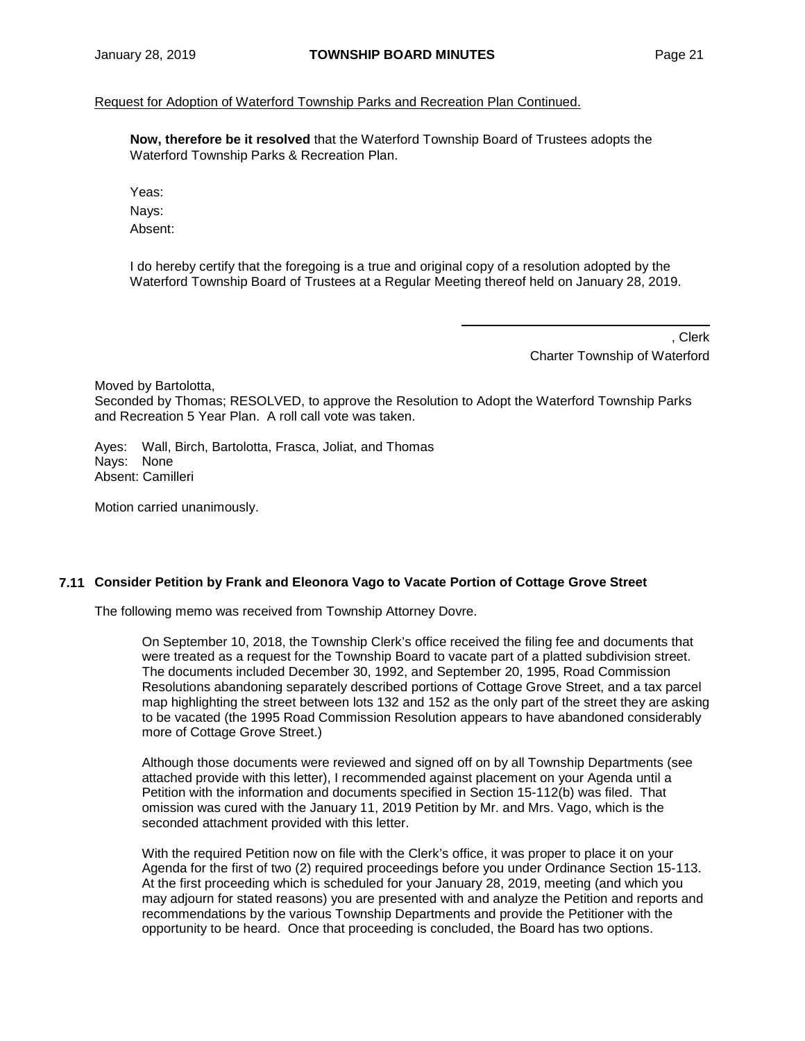# Request for Adoption of Waterford Township Parks and Recreation Plan Continued.

**Now, therefore be it resolved** that the Waterford Township Board of Trustees adopts the Waterford Township Parks & Recreation Plan.

Yeas: Nays: Absent:

I do hereby certify that the foregoing is a true and original copy of a resolution adopted by the Waterford Township Board of Trustees at a Regular Meeting thereof held on January 28, 2019.

> , Clerk Charter Township of Waterford

Moved by Bartolotta,

Seconded by Thomas; RESOLVED, to approve the Resolution to Adopt the Waterford Township Parks and Recreation 5 Year Plan. A roll call vote was taken.

Ayes: Wall, Birch, Bartolotta, Frasca, Joliat, and Thomas Nays: None Absent: Camilleri

Motion carried unanimously.

#### **7.11 Consider Petition by Frank and Eleonora Vago to Vacate Portion of Cottage Grove Street**

The following memo was received from Township Attorney Dovre.

On September 10, 2018, the Township Clerk's office received the filing fee and documents that were treated as a request for the Township Board to vacate part of a platted subdivision street. The documents included December 30, 1992, and September 20, 1995, Road Commission Resolutions abandoning separately described portions of Cottage Grove Street, and a tax parcel map highlighting the street between lots 132 and 152 as the only part of the street they are asking to be vacated (the 1995 Road Commission Resolution appears to have abandoned considerably more of Cottage Grove Street.)

Although those documents were reviewed and signed off on by all Township Departments (see attached provide with this letter), I recommended against placement on your Agenda until a Petition with the information and documents specified in Section 15-112(b) was filed. That omission was cured with the January 11, 2019 Petition by Mr. and Mrs. Vago, which is the seconded attachment provided with this letter.

With the required Petition now on file with the Clerk's office, it was proper to place it on your Agenda for the first of two (2) required proceedings before you under Ordinance Section 15-113. At the first proceeding which is scheduled for your January 28, 2019, meeting (and which you may adjourn for stated reasons) you are presented with and analyze the Petition and reports and recommendations by the various Township Departments and provide the Petitioner with the opportunity to be heard. Once that proceeding is concluded, the Board has two options.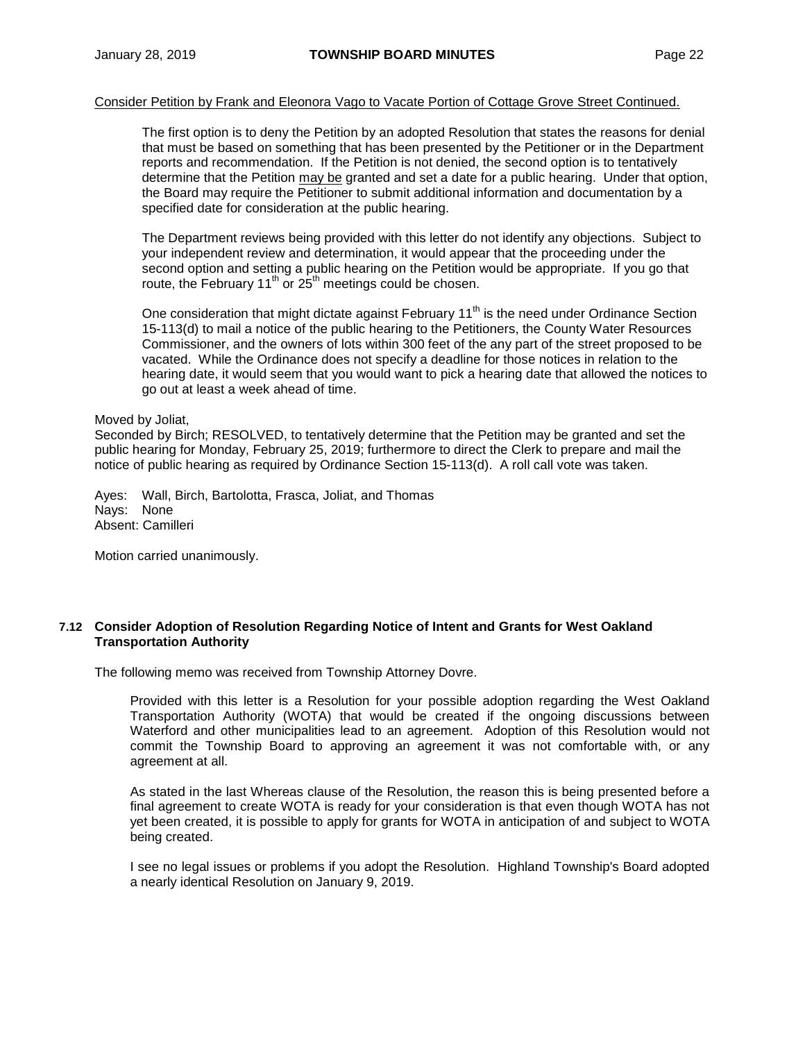#### Consider Petition by Frank and Eleonora Vago to Vacate Portion of Cottage Grove Street Continued.

The first option is to deny the Petition by an adopted Resolution that states the reasons for denial that must be based on something that has been presented by the Petitioner or in the Department reports and recommendation. If the Petition is not denied, the second option is to tentatively determine that the Petition may be granted and set a date for a public hearing. Under that option, the Board may require the Petitioner to submit additional information and documentation by a specified date for consideration at the public hearing.

The Department reviews being provided with this letter do not identify any objections. Subject to your independent review and determination, it would appear that the proceeding under the second option and setting a public hearing on the Petition would be appropriate. If you go that route, the February 11<sup>th</sup> or  $25<sup>th</sup>$  meetings could be chosen.

One consideration that might dictate against February  $11<sup>th</sup>$  is the need under Ordinance Section 15-113(d) to mail a notice of the public hearing to the Petitioners, the County Water Resources Commissioner, and the owners of lots within 300 feet of the any part of the street proposed to be vacated. While the Ordinance does not specify a deadline for those notices in relation to the hearing date, it would seem that you would want to pick a hearing date that allowed the notices to go out at least a week ahead of time.

#### Moved by Joliat,

Seconded by Birch; RESOLVED, to tentatively determine that the Petition may be granted and set the public hearing for Monday, February 25, 2019; furthermore to direct the Clerk to prepare and mail the notice of public hearing as required by Ordinance Section 15-113(d). A roll call vote was taken.

Ayes: Wall, Birch, Bartolotta, Frasca, Joliat, and Thomas Nays: None Absent: Camilleri

Motion carried unanimously.

#### **7.12 Consider Adoption of Resolution Regarding Notice of Intent and Grants for West Oakland Transportation Authority**

The following memo was received from Township Attorney Dovre.

Provided with this letter is a Resolution for your possible adoption regarding the West Oakland Transportation Authority (WOTA) that would be created if the ongoing discussions between Waterford and other municipalities lead to an agreement. Adoption of this Resolution would not commit the Township Board to approving an agreement it was not comfortable with, or any agreement at all.

As stated in the last Whereas clause of the Resolution, the reason this is being presented before a final agreement to create WOTA is ready for your consideration is that even though WOTA has not yet been created, it is possible to apply for grants for WOTA in anticipation of and subject to WOTA being created.

I see no legal issues or problems if you adopt the Resolution. Highland Township's Board adopted a nearly identical Resolution on January 9, 2019.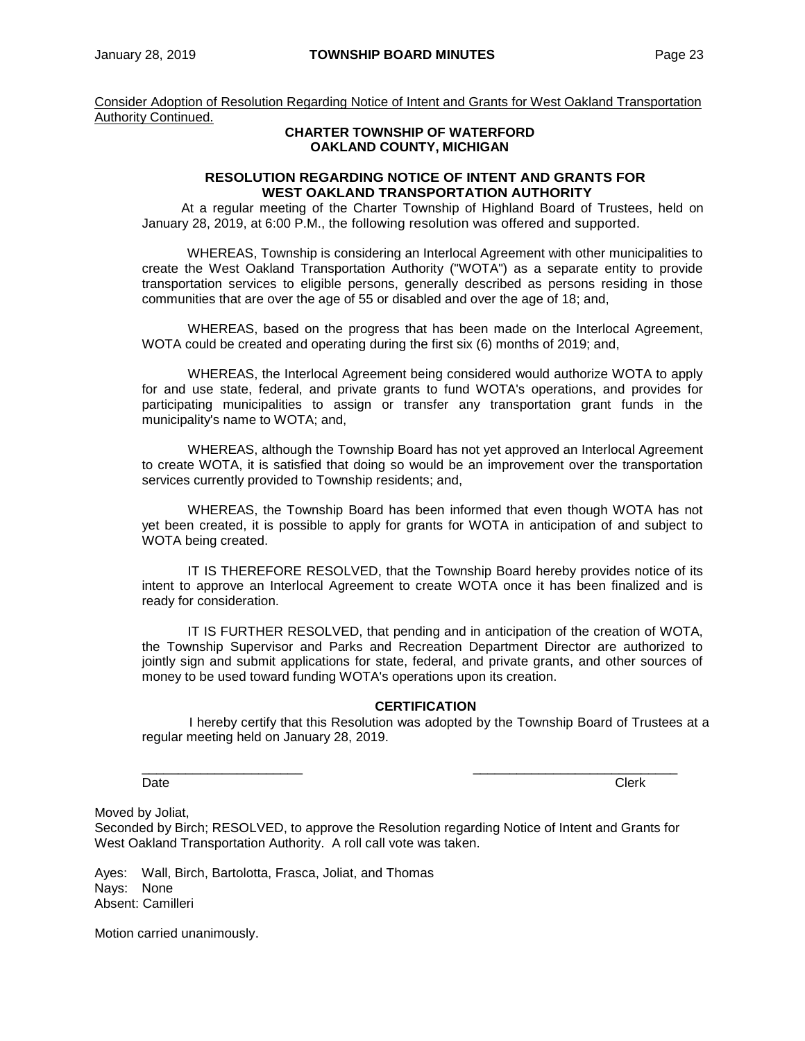Consider Adoption of Resolution Regarding Notice of Intent and Grants for West Oakland Transportation Authority Continued.

#### **CHARTER TOWNSHIP OF WATERFORD OAKLAND COUNTY, MICHIGAN**

#### **RESOLUTION REGARDING NOTICE OF INTENT AND GRANTS FOR WEST OAKLAND TRANSPORTATION AUTHORITY**

At a regular meeting of the Charter Township of Highland Board of Trustees, held on January 28, 2019, at 6:00 P.M., the following resolution was offered and supported.

WHEREAS, Township is considering an Interlocal Agreement with other municipalities to create the West Oakland Transportation Authority ("WOTA") as a separate entity to provide transportation services to eligible persons, generally described as persons residing in those communities that are over the age of 55 or disabled and over the age of 18; and,

WHEREAS, based on the progress that has been made on the Interlocal Agreement, WOTA could be created and operating during the first six (6) months of 2019; and,

WHEREAS, the Interlocal Agreement being considered would authorize WOTA to apply for and use state, federal, and private grants to fund WOTA's operations, and provides for participating municipalities to assign or transfer any transportation grant funds in the municipality's name to WOTA; and,

WHEREAS, although the Township Board has not yet approved an Interlocal Agreement to create WOTA, it is satisfied that doing so would be an improvement over the transportation services currently provided to Township residents; and,

WHEREAS, the Township Board has been informed that even though WOTA has not yet been created, it is possible to apply for grants for WOTA in anticipation of and subject to WOTA being created.

IT IS THEREFORE RESOLVED, that the Township Board hereby provides notice of its intent to approve an Interlocal Agreement to create WOTA once it has been finalized and is ready for consideration.

IT IS FURTHER RESOLVED, that pending and in anticipation of the creation of WOTA, the Township Supervisor and Parks and Recreation Department Director are authorized to jointly sign and submit applications for state, federal, and private grants, and other sources of money to be used toward funding WOTA's operations upon its creation.

#### **CERTIFICATION**

I hereby certify that this Resolution was adopted by the Township Board of Trustees at a regular meeting held on January 28, 2019.

\_\_\_\_\_\_\_\_\_\_\_\_\_\_\_\_\_\_\_\_\_\_ \_\_\_\_\_\_\_\_\_\_\_\_\_\_\_\_\_\_\_\_\_\_\_\_\_\_\_\_

Date **Clerk** Contract Contract Contract Contract Contract Contract Contract Contract Contract Contract Contract Contract Contract Contract Contract Contract Contract Contract Contract Contract Contract Contract Contract Co

Moved by Joliat,

Seconded by Birch; RESOLVED, to approve the Resolution regarding Notice of Intent and Grants for West Oakland Transportation Authority. A roll call vote was taken.

Ayes: Wall, Birch, Bartolotta, Frasca, Joliat, and Thomas Nays: None Absent: Camilleri

Motion carried unanimously.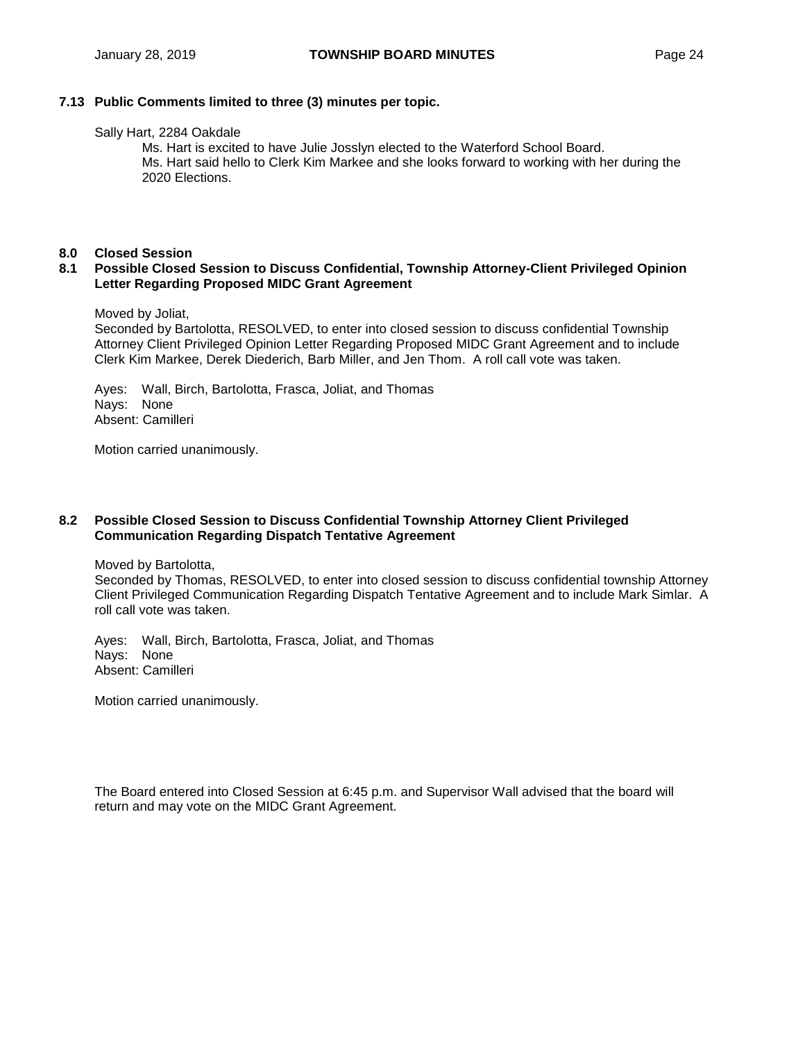# **7.13 Public Comments limited to three (3) minutes per topic.**

#### Sally Hart, 2284 Oakdale

Ms. Hart is excited to have Julie Josslyn elected to the Waterford School Board. Ms. Hart said hello to Clerk Kim Markee and she looks forward to working with her during the 2020 Elections.

# **8.0 Closed Session**

#### **8.1 Possible Closed Session to Discuss Confidential, Township Attorney-Client Privileged Opinion Letter Regarding Proposed MIDC Grant Agreement**

#### Moved by Joliat,

Seconded by Bartolotta, RESOLVED, to enter into closed session to discuss confidential Township Attorney Client Privileged Opinion Letter Regarding Proposed MIDC Grant Agreement and to include Clerk Kim Markee, Derek Diederich, Barb Miller, and Jen Thom. A roll call vote was taken.

Ayes: Wall, Birch, Bartolotta, Frasca, Joliat, and Thomas Nays: None Absent: Camilleri

Motion carried unanimously.

#### **8.2 Possible Closed Session to Discuss Confidential Township Attorney Client Privileged Communication Regarding Dispatch Tentative Agreement**

Moved by Bartolotta,

Seconded by Thomas, RESOLVED, to enter into closed session to discuss confidential township Attorney Client Privileged Communication Regarding Dispatch Tentative Agreement and to include Mark Simlar. A roll call vote was taken.

Ayes: Wall, Birch, Bartolotta, Frasca, Joliat, and Thomas Nays: None Absent: Camilleri

Motion carried unanimously.

The Board entered into Closed Session at 6:45 p.m. and Supervisor Wall advised that the board will return and may vote on the MIDC Grant Agreement.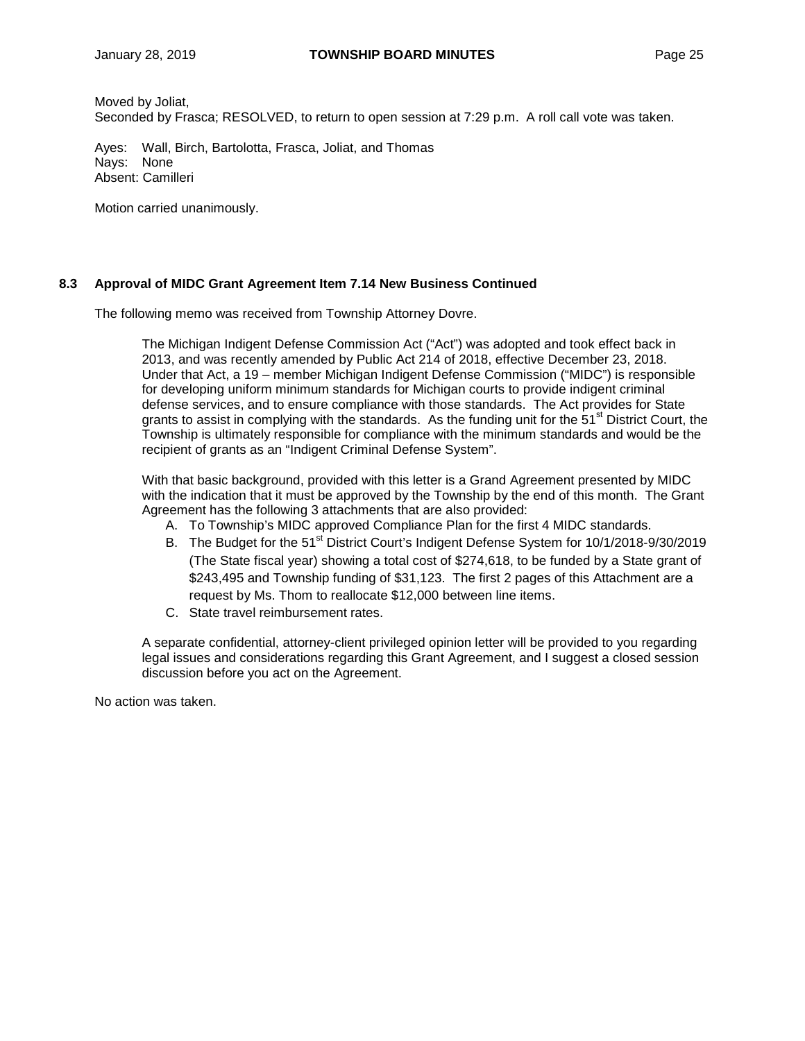Moved by Joliat,

Seconded by Frasca; RESOLVED, to return to open session at 7:29 p.m. A roll call vote was taken.

Ayes: Wall, Birch, Bartolotta, Frasca, Joliat, and Thomas Nays: None Absent: Camilleri

Motion carried unanimously.

# **8.3 Approval of MIDC Grant Agreement Item 7.14 New Business Continued**

The following memo was received from Township Attorney Dovre.

The Michigan Indigent Defense Commission Act ("Act") was adopted and took effect back in 2013, and was recently amended by Public Act 214 of 2018, effective December 23, 2018. Under that Act, a 19 – member Michigan Indigent Defense Commission ("MIDC") is responsible for developing uniform minimum standards for Michigan courts to provide indigent criminal defense services, and to ensure compliance with those standards. The Act provides for State grants to assist in complying with the standards. As the funding unit for the  $51<sup>st</sup>$  District Court, the Township is ultimately responsible for compliance with the minimum standards and would be the recipient of grants as an "Indigent Criminal Defense System".

With that basic background, provided with this letter is a Grand Agreement presented by MIDC with the indication that it must be approved by the Township by the end of this month. The Grant Agreement has the following 3 attachments that are also provided:

- A. To Township's MIDC approved Compliance Plan for the first 4 MIDC standards.
- B. The Budget for the 51<sup>st</sup> District Court's Indigent Defense System for 10/1/2018-9/30/2019 (The State fiscal year) showing a total cost of \$274,618, to be funded by a State grant of \$243,495 and Township funding of \$31,123. The first 2 pages of this Attachment are a request by Ms. Thom to reallocate \$12,000 between line items.
- C. State travel reimbursement rates.

A separate confidential, attorney-client privileged opinion letter will be provided to you regarding legal issues and considerations regarding this Grant Agreement, and I suggest a closed session discussion before you act on the Agreement.

No action was taken.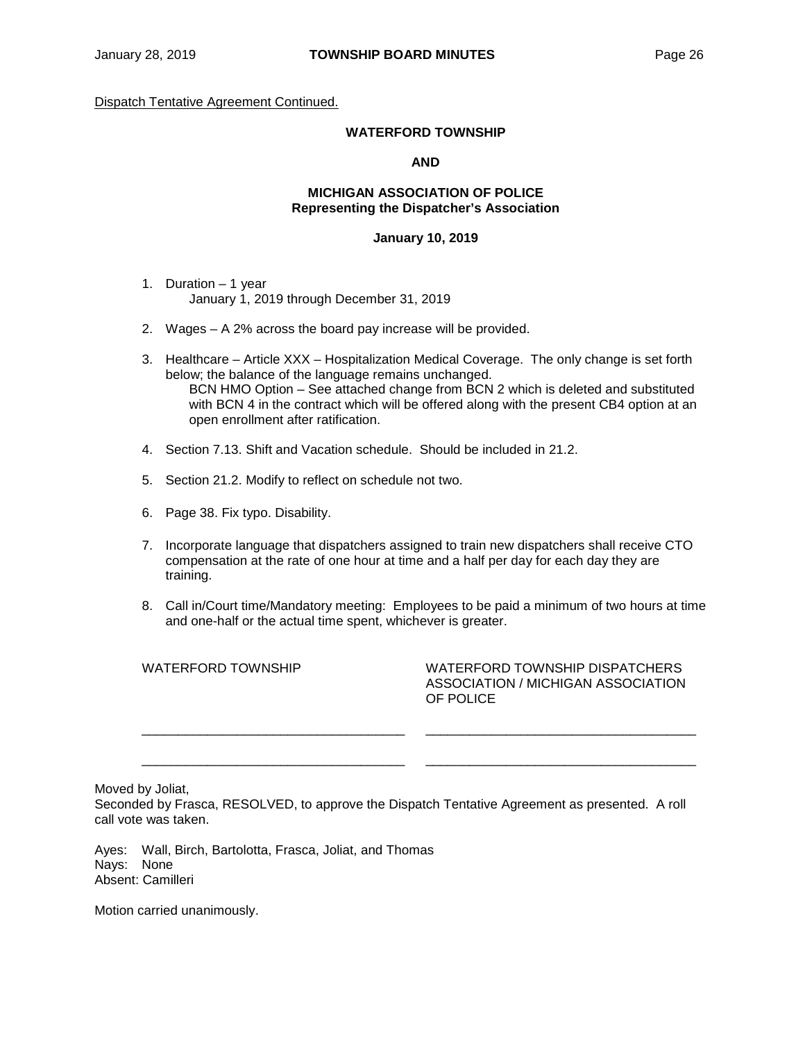Dispatch Tentative Agreement Continued.

#### **WATERFORD TOWNSHIP**

#### **AND**

#### **MICHIGAN ASSOCIATION OF POLICE Representing the Dispatcher's Association**

#### **January 10, 2019**

- 1. Duration 1 year January 1, 2019 through December 31, 2019
- 2. Wages A 2% across the board pay increase will be provided.
- 3. Healthcare Article XXX Hospitalization Medical Coverage. The only change is set forth below; the balance of the language remains unchanged. BCN HMO Option – See attached change from BCN 2 which is deleted and substituted with BCN 4 in the contract which will be offered along with the present CB4 option at an open enrollment after ratification.
- 4. Section 7.13. Shift and Vacation schedule. Should be included in 21.2.
- 5. Section 21.2. Modify to reflect on schedule not two.
- 6. Page 38. Fix typo. Disability.
- 7. Incorporate language that dispatchers assigned to train new dispatchers shall receive CTO compensation at the rate of one hour at time and a half per day for each day they are training.
- 8. Call in/Court time/Mandatory meeting: Employees to be paid a minimum of two hours at time and one-half or the actual time spent, whichever is greater.

\_\_\_\_\_\_\_\_\_\_\_\_\_\_\_\_\_\_\_\_\_\_\_\_\_\_\_\_\_\_\_\_\_\_\_\_ \_\_\_\_\_\_\_\_\_\_\_\_\_\_\_\_\_\_\_\_\_\_\_\_\_\_\_\_\_\_\_\_\_\_\_\_\_

\_\_\_\_\_\_\_\_\_\_\_\_\_\_\_\_\_\_\_\_\_\_\_\_\_\_\_\_\_\_\_\_\_\_\_\_ \_\_\_\_\_\_\_\_\_\_\_\_\_\_\_\_\_\_\_\_\_\_\_\_\_\_\_\_\_\_\_\_\_\_\_\_\_

WATERFORD TOWNSHIP WATERFORD TOWNSHIP DISPATCHERS ASSOCIATION / MICHIGAN ASSOCIATION OF POLICE

Moved by Joliat,

Seconded by Frasca, RESOLVED, to approve the Dispatch Tentative Agreement as presented. A roll call vote was taken.

Ayes: Wall, Birch, Bartolotta, Frasca, Joliat, and Thomas Nays: None Absent: Camilleri

Motion carried unanimously.